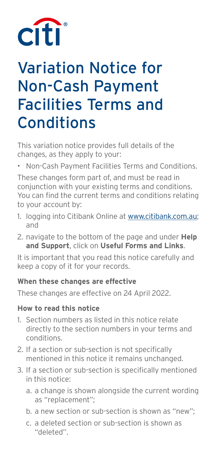

# Variation Notice for Non-Cash Payment Facilities Terms and **Conditions**

This variation notice provides full details of the changes, as they apply to your:

• Non-Cash Payment Facilities Terms and Conditions.

These changes form part of, and must be read in conjunction with your existing terms and conditions. You can find the current terms and conditions relating to your account by:

- 1. logging into Citibank Online at www.citibank.com.au; and
- 2. navigate to the bottom of the page and under **Help and Support**, click on **Useful Forms and Links**.

It is important that you read this notice carefully and keep a copy of it for your records.

#### **When these changes are effective**

These changes are effective on 24 April 2022.

#### **How to read this notice**

- 1. Section numbers as listed in this notice relate directly to the section numbers in your terms and conditions.
- 2. If a section or sub-section is not specifically mentioned in this notice it remains unchanged.
- 3. If a section or sub-section is specifically mentioned in this notice:
	- a. a change is shown alongside the current wording as "replacement";
	- b. a new section or sub-section is shown as "new";
	- c. a deleted section or sub-section is shown as "deleted".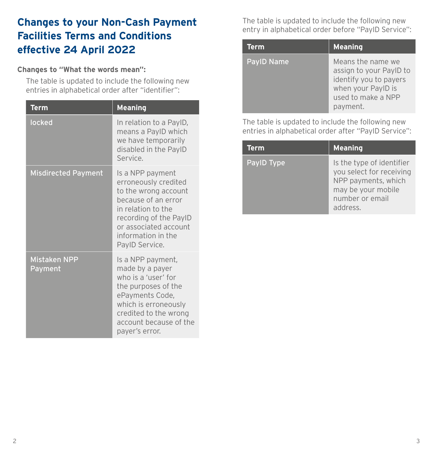# **Changes to your Non-Cash Payment Facilities Terms and Conditions effective 24 April 2022**

#### **Changes to "What the words mean":**

 The table is updated to include the following new entries in alphabetical order after "identifier":

| <b>Term</b>                    | <b>Meaning</b>                                                                                                                                                                                           |
|--------------------------------|----------------------------------------------------------------------------------------------------------------------------------------------------------------------------------------------------------|
| locked                         | In relation to a PayID,<br>means a PaylD which<br>we have temporarily<br>disabled in the PaylD<br>Service.                                                                                               |
| <b>Misdirected Payment</b>     | Is a NPP payment<br>erroneously credited<br>to the wrong account<br>because of an error<br>in relation to the<br>recording of the PayID<br>or associated account<br>information in the<br>PayID Service. |
| <b>Mistaken NPP</b><br>Payment | Is a NPP payment,<br>made by a payer<br>who is a 'user' for<br>the purposes of the<br>ePayments Code,<br>which is erroneously<br>credited to the wrong<br>account because of the<br>payer's error.       |

 The table is updated to include the following new entry in alphabetical order before "PayID Service":

| Term              | <b>Meaning</b>                                                                                                                 |
|-------------------|--------------------------------------------------------------------------------------------------------------------------------|
| <b>PayID Name</b> | Means the name we<br>assign to your PayID to<br>identify you to payers<br>when your PayID is<br>used to make a NPP<br>payment. |

 The table is updated to include the following new entries in alphabetical order after "PayID Service":

| <b>Term</b> | <b>Meaning</b>                                                                                                                    |
|-------------|-----------------------------------------------------------------------------------------------------------------------------------|
| PayID Type  | Is the type of identifier<br>you select for receiving<br>NPP payments, which<br>may be your mobile<br>number or email<br>address. |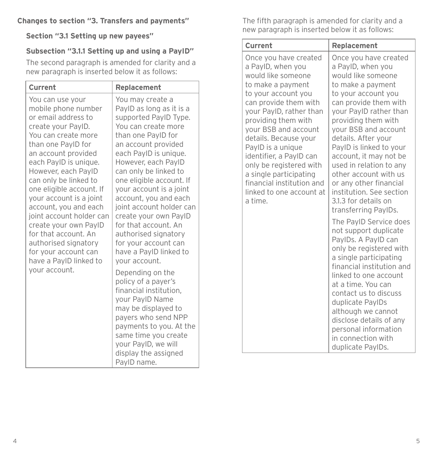#### **Changes to section "3. Transfers and payments"**

**Section "3.1 Setting up new payees"**

#### **Subsection "3.1.1 Setting up and using a PayID"**

 The second paragraph is amended for clarity and a new paragraph is inserted below it as follows:

| Current                                                                                                                                                                                                                                                                                                                                                                                                                                                                                   | Replacement                                                                                                                                                                                                                                                                                                                                                                                                                                                                                                                                                                                                                                                                                                                       |
|-------------------------------------------------------------------------------------------------------------------------------------------------------------------------------------------------------------------------------------------------------------------------------------------------------------------------------------------------------------------------------------------------------------------------------------------------------------------------------------------|-----------------------------------------------------------------------------------------------------------------------------------------------------------------------------------------------------------------------------------------------------------------------------------------------------------------------------------------------------------------------------------------------------------------------------------------------------------------------------------------------------------------------------------------------------------------------------------------------------------------------------------------------------------------------------------------------------------------------------------|
| You can use your<br>mobile phone number<br>or email address to<br>create your PayID.<br>You can create more<br>than one PayID for<br>an account provided<br>each PayID is unique.<br>However, each PaylD<br>can only be linked to<br>one eligible account. If<br>your account is a joint<br>account, you and each<br>joint account holder can<br>create your own PayID<br>for that account. An<br>authorised signatory<br>for your account can<br>have a PayID linked to<br>your account. | You may create a<br>PayID as long as it is a<br>supported PayID Type.<br>You can create more<br>than one PayID for<br>an account provided<br>each PayID is unique.<br>However, each PayID<br>can only be linked to<br>one eligible account. If<br>your account is a joint<br>account, you and each<br>joint account holder can<br>create your own PayID<br>for that account. An<br>authorised signatory<br>for your account can<br>have a PayID linked to<br>your account.<br>Depending on the<br>policy of a payer's<br>financial institution,<br>your PayID Name<br>may be displayed to<br>payers who send NPP<br>payments to you. At the<br>same time you create<br>your PayID, we will<br>display the assigned<br>PayID name. |

 The fifth paragraph is amended for clarity and a new paragraph is inserted below it as follows:

| Current                                                                                                                                                                                                                                                                                                                                                                                                           | Replacement                                                                                                                                                                                                                                                                                                                                                                                                                                          |  |  |
|-------------------------------------------------------------------------------------------------------------------------------------------------------------------------------------------------------------------------------------------------------------------------------------------------------------------------------------------------------------------------------------------------------------------|------------------------------------------------------------------------------------------------------------------------------------------------------------------------------------------------------------------------------------------------------------------------------------------------------------------------------------------------------------------------------------------------------------------------------------------------------|--|--|
| Once you have created<br>a PayID, when you<br>would like someone<br>to make a payment<br>to your account you<br>can provide them with<br>your PayID, rather than<br>providing them with<br>your BSB and account<br>details. Because your<br>PayID is a unique<br>identifier, a PayID can<br>only be registered with<br>a single participating<br>financial institution and<br>linked to one account at<br>a time. | Once you have created<br>a PayID, when you<br>would like someone<br>to make a payment<br>to your account you<br>can provide them with<br>your PayID rather than<br>providing them with<br>your BSB and account<br>details. After your<br>PayID is linked to your<br>account, it may not be<br>used in relation to any<br>other account with us<br>or any other financial<br>institution. See section<br>3.1.3 for details on<br>transferring PaylDs. |  |  |
|                                                                                                                                                                                                                                                                                                                                                                                                                   | The PayID Service does<br>not support duplicate<br>PaylDs. A PaylD can<br>only be registered with<br>a single participating<br>financial institution and<br>linked to one account<br>at a time. You can<br>contact us to discuss<br>duplicate PaylDs<br>although we cannot<br>disclose details of any<br>personal information<br>in connection with<br>duplicate PaylDs.                                                                             |  |  |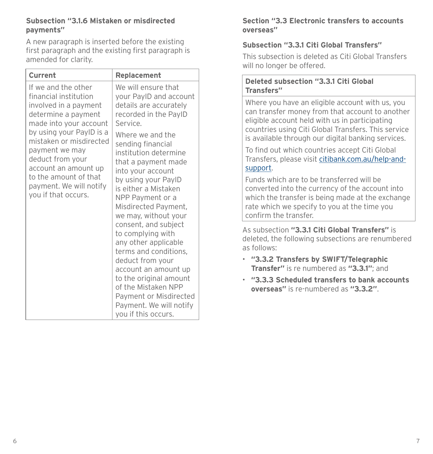#### **Subsection "3.1.6 Mistaken or misdirected payments"**

 A new paragraph is inserted before the existing first paragraph and the existing first paragraph is amended for clarity.

| Current                                                                                                                                                                                                                                                                                                                | Replacement                                                                                                                                                                                                                                                                                                                                                                                                                                                                                                                                                                                                          |
|------------------------------------------------------------------------------------------------------------------------------------------------------------------------------------------------------------------------------------------------------------------------------------------------------------------------|----------------------------------------------------------------------------------------------------------------------------------------------------------------------------------------------------------------------------------------------------------------------------------------------------------------------------------------------------------------------------------------------------------------------------------------------------------------------------------------------------------------------------------------------------------------------------------------------------------------------|
| If we and the other<br>financial institution<br>involved in a payment<br>determine a payment<br>made into your account<br>by using your PayID is a<br>mistaken or misdirected<br>payment we may<br>deduct from your<br>account an amount up<br>to the amount of that<br>payment. We will notify<br>you if that occurs. | We will ensure that<br>your PaylD and account<br>details are accurately<br>recorded in the PayID<br>Service.<br>Where we and the<br>sending financial<br>institution determine<br>that a payment made<br>into your account<br>by using your PayID<br>is either a Mistaken<br>NPP Payment or a<br>Misdirected Payment,<br>we may, without your<br>consent, and subject<br>to complying with<br>any other applicable<br>terms and conditions,<br>deduct from your<br>account an amount up<br>to the original amount<br>of the Mistaken NPP<br>Payment or Misdirected<br>Payment. We will notify<br>you if this occurs. |

#### **Section "3.3 Electronic transfers to accounts overseas"**

#### **Subsection "3.3.1 Citi Global Transfers"**

 This subsection is deleted as Citi Global Transfers will no longer be offered.

#### **Deleted subsection "3.3.1 Citi Global Transfers"**

Where you have an eligible account with us, you can transfer money from that account to another eligible account held with us in participating countries using Citi Global Transfers. This service is available through our digital banking services.

To find out which countries accept Citi Global Transfers, please visit citibank.com.au/help-andsupport.

Funds which are to be transferred will be converted into the currency of the account into which the transfer is being made at the exchange rate which we specify to you at the time you confirm the transfer.

 As subsection **"3.3.1 Citi Global Transfers"** is deleted, the following subsections are renumbered as follows:

- **"3.3.2 Transfers by SWIFT/Telegraphic Transfer"** is re numbered as **"3.3.1"**; and
- **"3.3.3 Scheduled transfers to bank accounts overseas"** is re-numbered as **"3.3.2"**.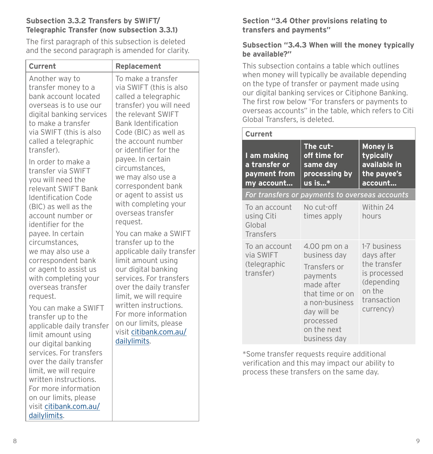#### **Subsection 3.3.2 Transfers by SWIFT/ Telegraphic Transfer (now subsection 3.3.1)**

 The first paragraph of this subsection is deleted and the second paragraph is amended for clarity.

| <b>Current</b>                                                                                                                                                                                                                                                                 | <b>Replacement</b>                                                                                               |
|--------------------------------------------------------------------------------------------------------------------------------------------------------------------------------------------------------------------------------------------------------------------------------|------------------------------------------------------------------------------------------------------------------|
| Another way to                                                                                                                                                                                                                                                                 | To make a transfer                                                                                               |
| transfer money to a                                                                                                                                                                                                                                                            | via SWIFT (this is also                                                                                          |
| bank account located                                                                                                                                                                                                                                                           | called a telegraphic                                                                                             |
| overseas is to use our                                                                                                                                                                                                                                                         | transfer) you will need                                                                                          |
| digital banking services                                                                                                                                                                                                                                                       | the relevant SWIFT                                                                                               |
| to make a transfer                                                                                                                                                                                                                                                             | <b>Bank Identification</b>                                                                                       |
| via SWIFT (this is also                                                                                                                                                                                                                                                        | Code (BIC) as well as                                                                                            |
| called a telegraphic                                                                                                                                                                                                                                                           | the account number                                                                                               |
| transfer).                                                                                                                                                                                                                                                                     | or identifier for the                                                                                            |
| In order to make a                                                                                                                                                                                                                                                             | payee. In certain                                                                                                |
| transfer via SWIFT                                                                                                                                                                                                                                                             | circumstances,                                                                                                   |
| you will need the                                                                                                                                                                                                                                                              | we may also use a                                                                                                |
| relevant SWIFT Bank                                                                                                                                                                                                                                                            | correspondent bank                                                                                               |
| <b>Identification Code</b>                                                                                                                                                                                                                                                     | or agent to assist us                                                                                            |
| (BIC) as well as the                                                                                                                                                                                                                                                           | with completing your                                                                                             |
| account number or                                                                                                                                                                                                                                                              | overseas transfer                                                                                                |
| identifier for the                                                                                                                                                                                                                                                             | request.                                                                                                         |
| payee. In certain                                                                                                                                                                                                                                                              | You can make a SWIFT                                                                                             |
| circumstances,                                                                                                                                                                                                                                                                 | transfer up to the                                                                                               |
| we may also use a                                                                                                                                                                                                                                                              | applicable daily transfer                                                                                        |
| correspondent bank                                                                                                                                                                                                                                                             | limit amount using                                                                                               |
| or agent to assist us                                                                                                                                                                                                                                                          | our digital banking                                                                                              |
| with completing your                                                                                                                                                                                                                                                           | services. For transfers                                                                                          |
| overseas transfer                                                                                                                                                                                                                                                              | over the daily transfer                                                                                          |
| request.                                                                                                                                                                                                                                                                       | limit, we will require                                                                                           |
| You can make a SWIFT<br>transfer up to the<br>applicable daily transfer<br>limit amount using<br>our digital banking<br>services. For transfers<br>over the daily transfer<br>limit, we will require<br>written instructions.<br>For more information<br>on our limits, please | written instructions.<br>For more information<br>on our limits, please<br>visit citibank.com.au/<br>dailylimits. |

#### **Section "3.4 Other provisions relating to transfers and payments"**

#### **Subsection "3.4.3 When will the money typically be available?"**

 This subsection contains a table which outlines when money will typically be available depending on the type of transfer or payment made using our digital banking services or Citiphone Banking. The first row below "For transfers or payments to overseas accounts" in the table, which refers to Citi Global Transfers, is deleted.

| Current                                                    |                                                                                                                                                                        |                                                                                                                |
|------------------------------------------------------------|------------------------------------------------------------------------------------------------------------------------------------------------------------------------|----------------------------------------------------------------------------------------------------------------|
| l am making<br>a transfer or<br>payment from<br>my account | The cut-<br>off time for<br>same day<br>processing by<br>us is*                                                                                                        | <b>Money is</b><br>typically<br>available in<br>the payee's<br>account                                         |
|                                                            | For transfers or payments to overseas accounts                                                                                                                         |                                                                                                                |
| To an account<br>using Citi<br>Global<br><b>Transfers</b>  | No cut-off<br>times apply                                                                                                                                              | Within 24<br>hours                                                                                             |
| To an account<br>via SWIFT<br>(telegraphic<br>transfer)    | 4.00 pm on a<br>business day<br>Transfers or<br>payments<br>made after<br>that time or on<br>a non-business<br>day will be<br>processed<br>on the next<br>business day | 1-7 business<br>days after<br>the transfer<br>is processed<br>(depending<br>on the<br>transaction<br>currency) |

 \*Some transfer requests require additional verification and this may impact our ability to process these transfers on the same day.

visit [citibank.com.au/](http://citibank.com.au/dailylimits)

[dailylimits](http://citibank.com.au/dailylimits).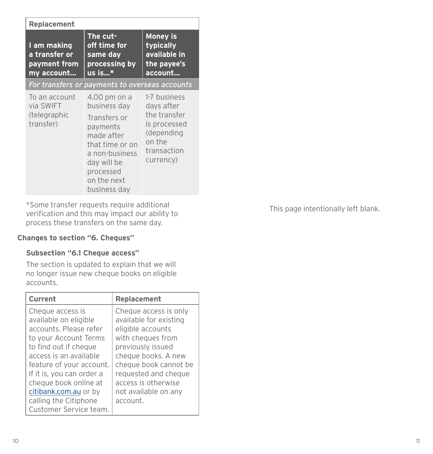| <b>Replacement</b>                                         |                                                                                                                                                                        |                                                                                                                |  |
|------------------------------------------------------------|------------------------------------------------------------------------------------------------------------------------------------------------------------------------|----------------------------------------------------------------------------------------------------------------|--|
| I am making<br>a transfer or<br>payment from<br>my account | The cut-<br>off time for<br>same day<br>processing by<br>$us$ is $*$                                                                                                   | <b>Money is</b><br>typically<br>available in<br>the payee's<br>account                                         |  |
|                                                            | For transfers or payments to overseas accounts                                                                                                                         |                                                                                                                |  |
| To an account<br>via SWIFT<br>(telegraphic<br>transfer)    | 4.00 pm on a<br>business day<br>Transfers or<br>payments<br>made after<br>that time or on<br>a non-business<br>day will be<br>processed<br>on the next<br>business day | 1-7 business<br>days after<br>the transfer<br>is processed<br>(depending<br>on the<br>transaction<br>currency) |  |

 \*Some transfer requests require additional verification and this may impact our ability to process these transfers on the same day.

#### **Changes to section "6. Cheques"**

#### **Subsection "6.1 Cheque access"**

 The section is updated to explain that we will no longer issue new cheque books on eligible accounts.

| Current                                                                                                                                                                                                                                                                                                       | <b>Replacement</b>                                                                                                                                                                                                                                |
|---------------------------------------------------------------------------------------------------------------------------------------------------------------------------------------------------------------------------------------------------------------------------------------------------------------|---------------------------------------------------------------------------------------------------------------------------------------------------------------------------------------------------------------------------------------------------|
| Cheque access is<br>available on eligible<br>accounts. Please refer<br>to your Account Terms<br>to find out if cheque<br>access is an available<br>feature of your account.<br>If it is, you can order a<br>cheque book online at<br>citibank.com.au or by<br>calling the Citiphone<br>Customer Service team. | Cheque access is only<br>available for existing<br>eligible accounts<br>with cheques from<br>previously issued<br>cheque books. A new<br>cheque book cannot be<br>requested and cheque<br>access is otherwise<br>not available on any<br>account. |

This page intentionally left blank.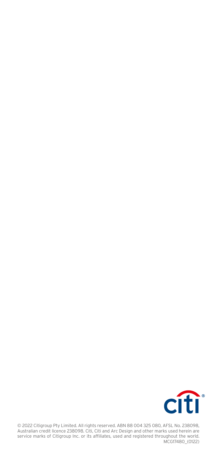

© 2022 Citigroup Pty Limited. All rights reserved. ABN 88 004 325 080, AFSL No. 238098,<br>Australian credit licence 238098. Citi, Citi and Arc Design and other marks used herein are service marks of Citigroup Inc. or its affiliates, used and registered throughout the world. MCG17480\_(0122)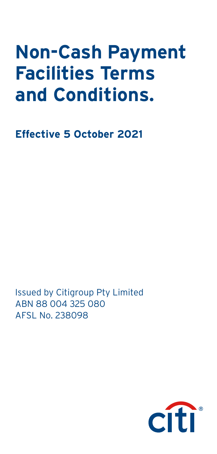# **Non-Cash Payment Facilities Terms and Conditions.**

**Effective 5 October 2021**

Issued by Citigroup Pty Limited ABN 88 004 325 080 AFSL No. 238098

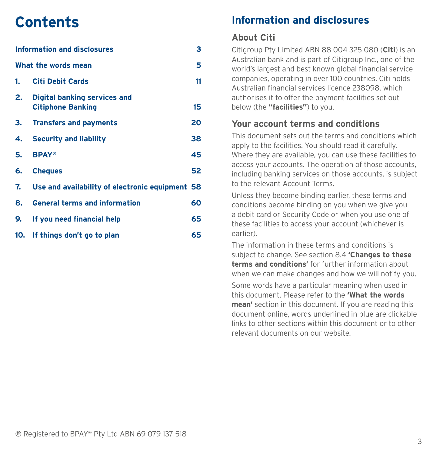# **Contents**

|                     | <b>Information and disclosures</b>                              | 3  |  |
|---------------------|-----------------------------------------------------------------|----|--|
| What the words mean |                                                                 | 5  |  |
| 1.                  | <b>Citi Debit Cards</b>                                         | 11 |  |
| 2.                  | <b>Digital banking services and</b><br><b>Citiphone Banking</b> | 15 |  |
| З.                  | <b>Transfers and payments</b>                                   | 20 |  |
| 4.                  | <b>Security and liability</b>                                   | 38 |  |
| 5.                  | <b>BPAY®</b>                                                    | 45 |  |
| 6.                  | <b>Cheques</b>                                                  | 52 |  |
| 7.                  | Use and availability of electronic equipment 58                 |    |  |
| 8.                  | <b>General terms and information</b>                            | 60 |  |
| 9.                  | If you need financial help                                      | 65 |  |
| 10.                 | If things don't go to plan                                      | 65 |  |

# **Information and disclosures**

### **About Citi**

Citigroup Pty Limited ABN 88 004 325 080 (**Citi**) is an Australian bank and is part of Citigroup Inc., one of the world's largest and best known global financial service companies, operating in over 100 countries. Citi holds Australian financial services licence 238098, which authorises it to offer the payment facilities set out below (the **"facilities"**) to you.

#### **Your account terms and conditions**

This document sets out the terms and conditions which apply to the facilities. You should read it carefully. Where they are available, you can use these facilities to access your accounts. The operation of those accounts, including banking services on those accounts, is subject to the relevant Account Terms.

Unless they become binding earlier, these terms and conditions become binding on you when we give you a debit card or Security Code or when you use one of these facilities to access your account (whichever is earlier).

The information in these terms and conditions is subject to change. See section 8.4 **'Changes to these terms and conditions'** for further information about when we can make changes and how we will notify you.

Some words have a particular meaning when used in this document. Please refer to the **'What the words mean'** section in this document. If you are reading this document online, words underlined in blue are clickable links to other sections within this document or to other relevant documents on our website.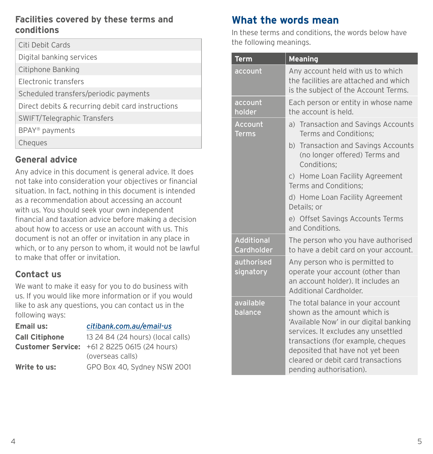### <span id="page-9-0"></span>**Facilities covered by these terms and conditions**

| Citi Debit Cards                                  |
|---------------------------------------------------|
| Digital banking services                          |
| Citiphone Banking                                 |
| Electronic transfers                              |
| Scheduled transfers/periodic payments             |
| Direct debits & recurring debit card instructions |
| <b>SWIFT/Telegraphic Transfers</b>                |
| BPAY <sup>®</sup> payments                        |
| Cheques                                           |

### **General advice**

Any advice in this document is general advice. It does not take into consideration your objectives or financial situation. In fact, nothing in this document is intended as a recommendation about accessing an account with us. You should seek your own independent financial and taxation advice before making a decision about how to access or use an account with us. This document is not an offer or invitation in any place in which, or to any person to whom, it would not be lawful to make that offer or invitation.

# **Contact us**

We want to make it easy for you to do business with us. If you would like more information or if you would like to ask any questions, you can contact us in the following ways:

| <b>Email us:</b>      | citibank.com.au/email-us                            |
|-----------------------|-----------------------------------------------------|
| <b>Call Citiphone</b> | 13 24 84 (24 hours) (local calls)                   |
|                       | <b>Customer Service:</b> +61 2 8225 0615 (24 hours) |
|                       | (overseas calls)                                    |
| Write to us:          | GPO Box 40, Sydney NSW 2001                         |

# **What the words mean**

In these terms and conditions, the words below have the following meanings.

| <b>Term</b>                            | <b>Meaning</b>                                                                                                                                                                                                                                                                                |  |
|----------------------------------------|-----------------------------------------------------------------------------------------------------------------------------------------------------------------------------------------------------------------------------------------------------------------------------------------------|--|
| account                                | Any account held with us to which<br>the facilities are attached and which<br>is the subject of the Account Terms.                                                                                                                                                                            |  |
| account<br>holder                      | Each person or entity in whose name<br>the account is held.                                                                                                                                                                                                                                   |  |
| <b>Account</b><br><b>Terms</b>         | a) Transaction and Savings Accounts<br>Terms and Conditions;                                                                                                                                                                                                                                  |  |
|                                        | b) Transaction and Savings Accounts<br>(no longer offered) Terms and<br>Conditions;                                                                                                                                                                                                           |  |
|                                        | c) Home Loan Facility Agreement<br>Terms and Conditions;                                                                                                                                                                                                                                      |  |
|                                        | d) Home Loan Facility Agreement<br>Details; or                                                                                                                                                                                                                                                |  |
|                                        | e) Offset Savings Accounts Terms<br>and Conditions.                                                                                                                                                                                                                                           |  |
| <b>Additional</b><br><b>Cardholder</b> | The person who you have authorised<br>to have a debit card on your account.                                                                                                                                                                                                                   |  |
| authorised<br>signatory                | Any person who is permitted to<br>operate your account (other than<br>an account holder). It includes an<br>Additional Cardholder.                                                                                                                                                            |  |
| available<br>balance                   | The total balance in your account<br>shown as the amount which is<br>'Available Now' in our digital banking<br>services. It excludes any unsettled<br>transactions (for example, cheques<br>deposited that have not yet been<br>cleared or debit card transactions<br>pending authorisation). |  |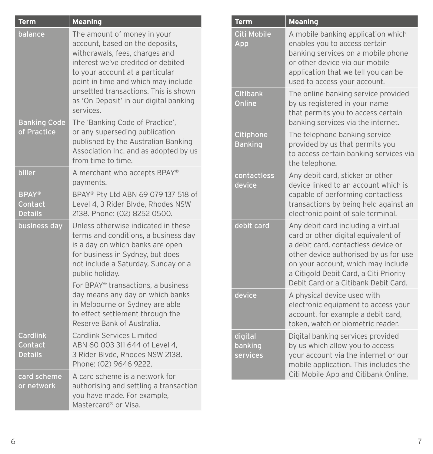| <b>Term</b>                                  | <b>Meaning</b>                                                                                                                                                                                                                                                                                                   |
|----------------------------------------------|------------------------------------------------------------------------------------------------------------------------------------------------------------------------------------------------------------------------------------------------------------------------------------------------------------------|
| balance                                      | The amount of money in your<br>account, based on the deposits,<br>withdrawals, fees, charges and<br>interest we've credited or debited<br>to your account at a particular<br>point in time and which may include<br>unsettled transactions. This is shown<br>as 'On Deposit' in our digital banking<br>services. |
| <b>Banking Code</b><br>of Practice           | The 'Banking Code of Practice',<br>or any superseding publication<br>published by the Australian Banking<br>Association Inc. and as adopted by us<br>from time to time.                                                                                                                                          |
| biller                                       | A merchant who accepts BPAY®<br>payments.                                                                                                                                                                                                                                                                        |
| <b>BPAY®</b><br>Contact<br><b>Details</b>    | BPAY® Pty Ltd ABN 69 079 137 518 of<br>Level 4, 3 Rider Blvde, Rhodes NSW<br>2138. Phone: (02) 8252 0500.                                                                                                                                                                                                        |
| business day                                 | Unless otherwise indicated in these<br>terms and conditions, a business day<br>is a day on which banks are open<br>for business in Sydney, but does<br>not include a Saturday, Sunday or a<br>public holiday.                                                                                                    |
|                                              | For BPAY <sup>®</sup> transactions, a business<br>day means any day on which banks<br>in Melbourne or Sydney are able<br>to effect settlement through the<br>Reserve Bank of Australia.                                                                                                                          |
| <b>Cardlink</b><br>Contact<br><b>Details</b> | <b>Cardlink Services Limited</b><br>ABN 60 003 311 644 of Level 4,<br>3 Rider Blvde, Rhodes NSW 2138.<br>Phone: (02) 9646 9222.                                                                                                                                                                                  |
| card scheme<br>or network                    | A card scheme is a network for<br>authorising and settling a transaction<br>you have made. For example,<br>Mastercard <sup>®</sup> or Visa.                                                                                                                                                                      |

| Term                           | <b>Meaning</b>                                                                                                                                                                                                                                                                    |
|--------------------------------|-----------------------------------------------------------------------------------------------------------------------------------------------------------------------------------------------------------------------------------------------------------------------------------|
| Citi Mobile<br>App             | A mobile banking application which<br>enables you to access certain<br>banking services on a mobile phone<br>or other device via our mobile<br>application that we tell you can be<br>used to access your account.                                                                |
| <b>Citibank</b><br>Online      | The online banking service provided<br>by us registered in your name<br>that permits you to access certain<br>banking services via the internet.                                                                                                                                  |
| Citiphone<br><b>Banking</b>    | The telephone banking service<br>provided by us that permits you<br>to access certain banking services via<br>the telephone.                                                                                                                                                      |
| contactless<br>device          | Any debit card, sticker or other<br>device linked to an account which is<br>capable of performing contactless<br>transactions by being held against an<br>electronic point of sale terminal.                                                                                      |
| debit card                     | Any debit card including a virtual<br>card or other digital equivalent of<br>a debit card, contactless device or<br>other device authorised by us for use<br>on your account, which may include<br>a Citigold Debit Card, a Citi Priority<br>Debit Card or a Citibank Debit Card. |
| device                         | A physical device used with<br>electronic equipment to access your<br>account, for example a debit card,<br>token, watch or biometric reader.                                                                                                                                     |
| digital<br>banking<br>services | Digital banking services provided<br>by us which allow you to access<br>your account via the internet or our<br>mobile application. This includes the<br>Citi Mobile App and Citibank Online.                                                                                     |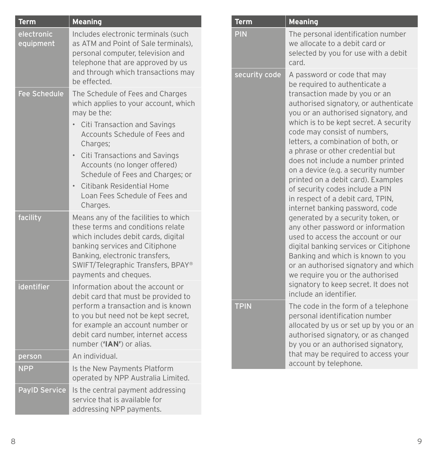| Term                    | <b>Meaning</b>                                                                                                                                                                                                                                                                                                                                                                                                   |               | Term                                                                                                                                                                                                                                                                                                                                                                                                                                                                                                                                                          | <b>Meaning</b>                                                                                                                                                                                                                                                                                                |
|-------------------------|------------------------------------------------------------------------------------------------------------------------------------------------------------------------------------------------------------------------------------------------------------------------------------------------------------------------------------------------------------------------------------------------------------------|---------------|---------------------------------------------------------------------------------------------------------------------------------------------------------------------------------------------------------------------------------------------------------------------------------------------------------------------------------------------------------------------------------------------------------------------------------------------------------------------------------------------------------------------------------------------------------------|---------------------------------------------------------------------------------------------------------------------------------------------------------------------------------------------------------------------------------------------------------------------------------------------------------------|
| electronic<br>equipment | Includes electronic terminals (such<br>as ATM and Point of Sale terminals),<br>personal computer, television and<br>telephone that are approved by us                                                                                                                                                                                                                                                            |               | <b>PIN</b>                                                                                                                                                                                                                                                                                                                                                                                                                                                                                                                                                    | The personal identification number<br>we allocate to a debit card or<br>selected by you for use with a debit<br>card.                                                                                                                                                                                         |
| <b>Fee Schedule</b>     | and through which transactions may<br>be effected.<br>The Schedule of Fees and Charges<br>which applies to your account, which<br>may be the:<br>• Citi Transaction and Savings<br>Accounts Schedule of Fees and<br>Charges;<br>• Citi Transactions and Savings<br>Accounts (no longer offered)<br>Schedule of Fees and Charges; or<br>• Citibank Residential Home<br>Loan Fees Schedule of Fees and<br>Charges. | security code | A password or code that may<br>be required to authenticate a<br>transaction made by you or an<br>authorised signatory, or authenticat<br>you or an authorised signatory, and<br>which is to be kept secret. A security<br>code may consist of numbers,<br>letters, a combination of both, or<br>a phrase or other credential but<br>does not include a number printed<br>on a device (e.g. a security number<br>printed on a debit card). Examples<br>of security codes include a PIN<br>in respect of a debit card, TPIN,<br>internet banking password, code |                                                                                                                                                                                                                                                                                                               |
| facility<br>identifier  | Means any of the facilities to which<br>these terms and conditions relate<br>which includes debit cards, digital<br>banking services and Citiphone<br>Banking, electronic transfers,<br>SWIFT/Telegraphic Transfers, BPAY®<br>payments and cheques.<br>Information about the account or                                                                                                                          |               |                                                                                                                                                                                                                                                                                                                                                                                                                                                                                                                                                               | generated by a security token, or<br>any other password or information<br>used to access the account or our<br>digital banking services or Citiphone<br>Banking and which is known to you<br>or an authorised signatory and whic<br>we require you or the authorised<br>signatory to keep secret. It does not |
|                         | debit card that must be provided to<br>perform a transaction and is known<br>to you but need not be kept secret,<br>for example an account number or<br>debit card number, internet access<br>number ('IAN') or alias.                                                                                                                                                                                           |               | include an identifier.<br><b>TPIN</b>                                                                                                                                                                                                                                                                                                                                                                                                                                                                                                                         | The code in the form of a telephone<br>personal identification number<br>allocated by us or set up by you or a<br>authorised signatory, or as changed<br>by you or an authorised signatory,                                                                                                                   |
| person                  | An individual.                                                                                                                                                                                                                                                                                                                                                                                                   |               |                                                                                                                                                                                                                                                                                                                                                                                                                                                                                                                                                               | that may be required to access your                                                                                                                                                                                                                                                                           |
| <b>NPP</b>              | Is the New Payments Platform<br>operated by NPP Australia Limited.                                                                                                                                                                                                                                                                                                                                               |               |                                                                                                                                                                                                                                                                                                                                                                                                                                                                                                                                                               | account by telephone.                                                                                                                                                                                                                                                                                         |
| <b>PayID Service</b>    | Is the central payment addressing<br>service that is available for<br>addressing NPP payments.                                                                                                                                                                                                                                                                                                                   |               |                                                                                                                                                                                                                                                                                                                                                                                                                                                                                                                                                               |                                                                                                                                                                                                                                                                                                               |

| security code | A password or code that may<br>be required to authenticate a<br>transaction made by you or an<br>authorised signatory, or authenticate<br>you or an authorised signatory, and<br>which is to be kept secret. A security<br>code may consist of numbers,<br>letters, a combination of both, or<br>a phrase or other credential but<br>does not include a number printed<br>on a device (e.g. a security number<br>printed on a debit card). Examples<br>of security codes include a PIN<br>in respect of a debit card, TPIN,<br>internet banking password, code<br>generated by a security token, or<br>any other password or information<br>used to access the account or our<br>digital banking services or Citiphone<br>Banking and which is known to you<br>or an authorised signatory and which<br>we require you or the authorised<br>signatory to keep secret. It does not<br>include an identifier. |
|---------------|------------------------------------------------------------------------------------------------------------------------------------------------------------------------------------------------------------------------------------------------------------------------------------------------------------------------------------------------------------------------------------------------------------------------------------------------------------------------------------------------------------------------------------------------------------------------------------------------------------------------------------------------------------------------------------------------------------------------------------------------------------------------------------------------------------------------------------------------------------------------------------------------------------|
| <b>TPIN</b>   | The code in the form of a telephone<br>personal identification number<br>allocated by us or set up by you or an<br>authorised signatory, or as changed<br>by you or an authorised signatory,<br>that may be required to access your                                                                                                                                                                                                                                                                                                                                                                                                                                                                                                                                                                                                                                                                        |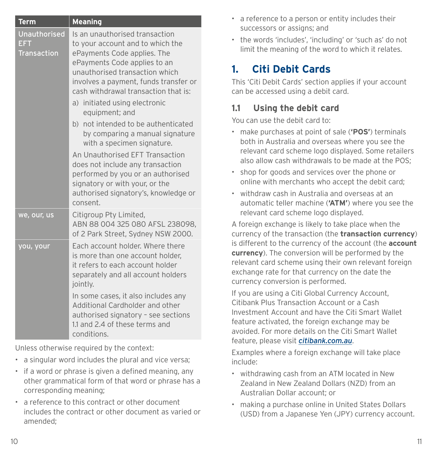<span id="page-12-0"></span>

| <b>Term</b>                                      | <b>Meaning</b>                                                                                                                                                                                                                                       |  |
|--------------------------------------------------|------------------------------------------------------------------------------------------------------------------------------------------------------------------------------------------------------------------------------------------------------|--|
| <b>Unauthorised</b><br>EFT<br><b>Transaction</b> | Is an unauthorised transaction<br>to your account and to which the<br>ePayments Code applies. The<br>ePayments Code applies to an<br>unauthorised transaction which<br>involves a payment, funds transfer or<br>cash withdrawal transaction that is: |  |
|                                                  | a) initiated using electronic<br>equipment; and                                                                                                                                                                                                      |  |
|                                                  | b) not intended to be authenticated<br>by comparing a manual signature<br>with a specimen signature.                                                                                                                                                 |  |
|                                                  | An Unauthorised EFT Transaction<br>does not include any transaction<br>performed by you or an authorised<br>signatory or with your, or the<br>authorised signatory's, knowledge or<br>consent.                                                       |  |
| we, our, us                                      | Citigroup Pty Limited,<br>ABN 88 004 325 080 AFSL 238098,<br>of 2 Park Street, Sydney NSW 2000.                                                                                                                                                      |  |
| you, your                                        | Each account holder. Where there<br>is more than one account holder,<br>it refers to each account holder<br>separately and all account holders<br>jointly.                                                                                           |  |
|                                                  | In some cases, it also includes any<br>Additional Cardholder and other<br>authorised signatory - see sections<br>1.1 and 2.4 of these terms and<br>conditions.                                                                                       |  |

Unless otherwise required by the context:

- a singular word includes the plural and vice versa;
- if a word or phrase is given a defined meaning, any other grammatical form of that word or phrase has a corresponding meaning;
- a reference to this contract or other document includes the contract or other document as varied or amended;
- a reference to a person or entity includes their successors or assigns; and
- the words 'includes', 'including' or 'such as' do not limit the meaning of the word to which it relates.

# **1. Citi Debit Cards**

This 'Citi Debit Cards' section applies if your account can be accessed using a debit card.

# **1.1 Using the debit card**

You can use the debit card to:

- make purchases at point of sale (**'POS'**) terminals both in Australia and overseas where you see the relevant card scheme logo displayed. Some retailers also allow cash withdrawals to be made at the POS;
- shop for goods and services over the phone or online with merchants who accept the debit card;
- withdraw cash in Australia and overseas at an automatic teller machine (**'ATM'**) where you see the relevant card scheme logo displayed.

A foreign exchange is likely to take place when the currency of the transaction (the **transaction currency**) is different to the currency of the account (the **account currency**). The conversion will be performed by the relevant card scheme using their own relevant foreign exchange rate for that currency on the date the currency conversion is performed.

If you are using a Citi Global Currency Account, Citibank Plus Transaction Account or a Cash Investment Account and have the Citi Smart Wallet feature activated, the foreign exchange may be avoided. For more details on the Citi Smart Wallet feature, please visit *[citibank.com.au](http://citibank.com.au)*.

Examples where a foreign exchange will take place include:

- withdrawing cash from an ATM located in New Zealand in New Zealand Dollars (NZD) from an Australian Dollar account; or
- making a purchase online in United States Dollars (USD) from a Japanese Yen (JPY) currency account.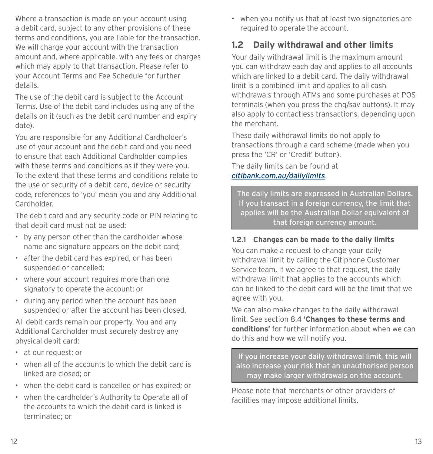Where a transaction is made on your account using a debit card, subject to any other provisions of these terms and conditions, you are liable for the transaction. We will charge your account with the transaction amount and, where applicable, with any fees or charges which may apply to that transaction. Please refer to your Account Terms and Fee Schedule for further details.

The use of the debit card is subject to the Account Terms. Use of the debit card includes using any of the details on it (such as the debit card number and expiry date).

You are responsible for any Additional Cardholder's use of your account and the debit card and you need to ensure that each Additional Cardholder complies with these terms and conditions as if they were you. To the extent that these terms and conditions relate to the use or security of a debit card, device or security code, references to 'you' mean you and any Additional Cardholder.

The debit card and any security code or PIN relating to that debit card must not be used:

- by any person other than the cardholder whose name and signature appears on the debit card;
- after the debit card has expired, or has been suspended or cancelled;
- where your account requires more than one signatory to operate the account; or
- during any period when the account has been suspended or after the account has been closed.

All debit cards remain our property. You and any Additional Cardholder must securely destroy any physical debit card:

- at our request; or
- when all of the accounts to which the debit card is linked are closed; or
- when the debit card is cancelled or has expired; or
- when the cardholder's Authority to Operate all of the accounts to which the debit card is linked is terminated; or

• when you notify us that at least two signatories are required to operate the account.

# **1.2 Daily withdrawal and other limits**

Your daily withdrawal limit is the maximum amount you can withdraw each day and applies to all accounts which are linked to a debit card. The daily withdrawal limit is a combined limit and applies to all cash withdrawals through ATMs and some purchases at POS terminals (when you press the chq/sav buttons). It may also apply to contactless transactions, depending upon the merchant.

These daily withdrawal limits do not apply to transactions through a card scheme (made when you press the 'CR' or 'Credit' button).

The daily limits can be found at *[citibank.com.au/dailylimits](http://citibank.com.au/dailylimits)*.

The daily limits are expressed in Australian Dollars. If you transact in a foreign currency, the limit that applies will be the Australian Dollar equivalent of that foreign currency amount.

#### **1.2.1 Changes can be made to the daily limits**

You can make a request to change your daily withdrawal limit by calling the Citiphone Customer Service team. If we agree to that request, the daily withdrawal limit that applies to the accounts which can be linked to the debit card will be the limit that we agree with you.

We can also make changes to the daily withdrawal limit. See section 8.4 **'Changes to these terms and conditions'** for further information about when we can do this and how we will notify you.

If you increase your daily withdrawal limit, this will also increase your risk that an unauthorised person may make larger withdrawals on the account.

Please note that merchants or other providers of facilities may impose additional limits.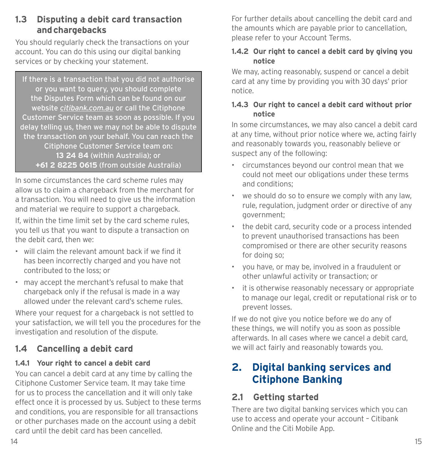### <span id="page-14-0"></span>**1.3 Disputing a debit card transaction and chargebacks**

You should regularly check the transactions on your account. You can do this using our digital banking services or by checking your statement.

If there is a transaction that you did not authorise or you want to query, you should complete the Disputes Form which can be found on our website *[citibank.com.au](http://citibank.com.au)* or call the Citiphone Customer Service team as soon as possible. If you delay telling us, then we may not be able to dispute the transaction on your behalf. You can reach the Citiphone Customer Service team on: **13 24 84** (within Australia); or **+61 2 8225 0615** (from outside Australia)

In some circumstances the card scheme rules may allow us to claim a chargeback from the merchant for a transaction. You will need to give us the information and material we require to support a chargeback.

If, within the time limit set by the card scheme rules, you tell us that you want to dispute a transaction on the debit card, then we:

- will claim the relevant amount back if we find it has been incorrectly charged and you have not contributed to the loss; or
- may accept the merchant's refusal to make that chargeback only if the refusal is made in a way allowed under the relevant card's scheme rules.

Where your request for a chargeback is not settled to your satisfaction, we will tell you the procedures for the investigation and resolution of the dispute.

# **1.4 Cancelling a debit card**

#### **1.4.1 Your right to cancel a debit card**

You can cancel a debit card at any time by calling the Citiphone Customer Service team. It may take time for us to process the cancellation and it will only take effect once it is processed by us. Subject to these terms and conditions, you are responsible for all transactions or other purchases made on the account using a debit card until the debit card has been cancelled.

For further details about cancelling the debit card and the amounts which are payable prior to cancellation, please refer to your Account Terms.

#### **1.4.2 Our right to cancel a debit card by giving you notice**

We may, acting reasonably, suspend or cancel a debit card at any time by providing you with 30 days' prior notice.

#### **1.4.3 Our right to cancel a debit card without prior notice**

In some circumstances, we may also cancel a debit card at any time, without prior notice where we, acting fairly and reasonably towards you, reasonably believe or suspect any of the following:

- circumstances beyond our control mean that we could not meet our obligations under these terms and conditions;
- we should do so to ensure we comply with any law, rule, regulation, judgment order or directive of any government;
- the debit card, security code or a process intended to prevent unauthorised transactions has been compromised or there are other security reasons for doing so;
- you have, or may be, involved in a fraudulent or other unlawful activity or transaction; or
- it is otherwise reasonably necessary or appropriate to manage our legal, credit or reputational risk or to prevent losses.

If we do not give you notice before we do any of these things, we will notify you as soon as possible afterwards. In all cases where we cancel a debit card, we will act fairly and reasonably towards you.

# **2. Digital banking services and Citiphone Banking**

# **2.1 Getting started**

There are two digital banking services which you can use to access and operate your account – Citibank Online and the Citi Mobile App.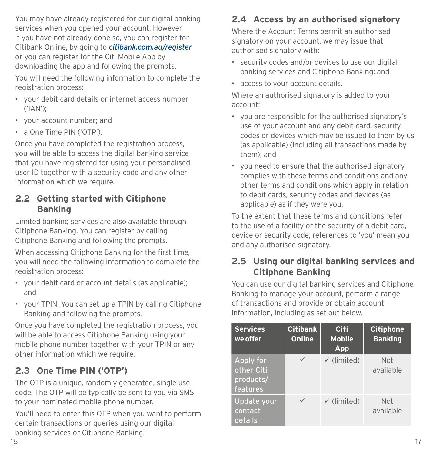You may have already registered for our digital banking services when you opened your account. However, if you have not already done so, you can register for Citibank Online, by going to *[citibank.com.au/register](http://citibank.com.au/register)* or you can register for the Citi Mobile App by downloading the app and following the prompts. You will need the following information to complete the registration process:

- your debit card details or internet access number ('IAN');
- your account number; and
- a One Time PIN ('OTP').

Once you have completed the registration process, you will be able to access the digital banking service that you have registered for using your personalised user ID together with a security code and any other information which we require.

# **2.2 Getting started with Citiphone Banking**

Limited banking services are also available through Citiphone Banking. You can register by calling Citiphone Banking and following the prompts.

When accessing Citiphone Banking for the first time, you will need the following information to complete the registration process:

- your debit card or account details (as applicable); and
- your TPIN. You can set up a TPIN by calling Citiphone Banking and following the prompts.

Once you have completed the registration process, you will be able to access Citiphone Banking using your mobile phone number together with your TPIN or any other information which we require.

# **2.3 One Time PIN ('OTP')**

The OTP is a unique, randomly generated, single use code. The OTP will be typically be sent to you via SMS to your nominated mobile phone number.

You'll need to enter this OTP when you want to perform certain transactions or queries using our digital banking services or Citiphone Banking.

# **2.4 Access by an authorised signatory**

Where the Account Terms permit an authorised signatory on your account, we may issue that authorised signatory with:

- security codes and/or devices to use our digital banking services and Citiphone Banking; and
- access to your account details.

Where an authorised signatory is added to your account:

- you are responsible for the authorised signatory's use of your account and any debit card, security codes or devices which may be issued to them by us (as applicable) (including all transactions made by them); and
- you need to ensure that the authorised signatory complies with these terms and conditions and any other terms and conditions which apply in relation to debit cards, security codes and devices (as applicable) as if they were you.

To the extent that these terms and conditions refer to the use of a facility or the security of a debit card, device or security code, references to 'you' mean you and any authorised signatory.

# **2.5 Using our digital banking services and Citiphone Banking**

You can use our digital banking services and Citiphone Banking to manage your account, perform a range of transactions and provide or obtain account information, including as set out below.

| <b>Services</b><br>we offer                      | <b>Citibank</b><br><b>Online</b> | Citi<br><b>Mobile</b><br>App | <b>Citiphone</b><br><b>Banking</b> |
|--------------------------------------------------|----------------------------------|------------------------------|------------------------------------|
| Apply for<br>other Citi<br>products/<br>features |                                  | $\checkmark$ (limited)       | <b>Not</b><br>available            |
| Update your<br>contact<br>details                |                                  | $\checkmark$ (limited)       | <b>Not</b><br>available            |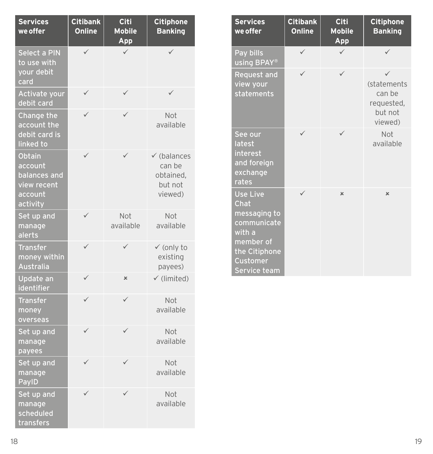| <b>Services</b><br>we offer                                             | <b>Citibank</b><br><b>Online</b> | <b>Citi</b><br><b>Mobile</b><br>App | <b>Citiphone</b><br><b>Banking</b>                                  |
|-------------------------------------------------------------------------|----------------------------------|-------------------------------------|---------------------------------------------------------------------|
| <b>Select a PIN</b><br>to use with<br>your debit<br>card                | ✓                                | $\checkmark$                        | ✓                                                                   |
| Activate your<br>debit card                                             |                                  |                                     |                                                                     |
| Change the<br>account the<br>debit card is<br>linked to                 |                                  |                                     | Not<br>available                                                    |
| Obtain<br>account<br>balances and<br>view recent<br>account<br>activity | ✓                                | ✓                                   | $\checkmark$ (balances<br>can be<br>obtained,<br>but not<br>viewed) |
| Set up and<br>manage<br>alerts                                          | ✓                                | Not<br>available                    | Not<br>available                                                    |
| <b>Transfer</b><br>money within<br><b>Australia</b>                     | ✓                                | ✓                                   | $\checkmark$ (only to<br>existing<br>payees)                        |
| Update an<br>identifier                                                 | ✓                                | $\pmb{\times}$                      | $\checkmark$ (limited)                                              |
| <b>Transfer</b><br>money<br>overseas                                    | ✓                                | ✓                                   | Not<br>available                                                    |
| Set up and<br>manage<br>payees                                          |                                  |                                     | Not<br>available                                                    |
| Set up and<br>manage<br>PaylD                                           |                                  |                                     | Not<br>available                                                    |
| Set up and<br>manage<br>scheduled<br>transfers                          |                                  |                                     | Not<br>available                                                    |

| <b>Services</b><br>we offer                                                                                                       | <b>Citibank</b><br><b>Online</b> | <b>Citi</b><br><b>Mobile</b><br>App | <b>Citiphone</b><br><b>Banking</b>                        |
|-----------------------------------------------------------------------------------------------------------------------------------|----------------------------------|-------------------------------------|-----------------------------------------------------------|
| Pay bills<br>using BPAY®                                                                                                          | $\checkmark$                     | $\checkmark$                        | $\checkmark$                                              |
| <b>Request and</b><br>view your<br>statements                                                                                     |                                  |                                     | (statements<br>can be<br>requested,<br>but not<br>viewed) |
| See our<br>latest<br>interest<br>and foreign<br>exchange<br>rates                                                                 | ✓                                | ✓                                   | Not<br>available                                          |
| <b>Use Live</b><br>Chat<br>messaging to<br>communicate<br>with a<br>member of<br>the Citiphone<br><b>Customer</b><br>Service team |                                  | $\mathbf x$                         | $\boldsymbol{\mathsf{x}}$                                 |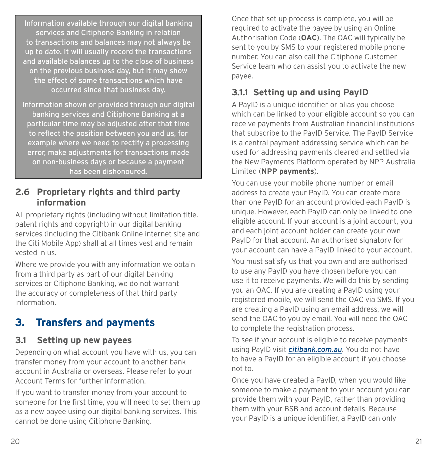<span id="page-17-0"></span>Information available through our digital banking services and Citiphone Banking in relation to transactions and balances may not always be up to date. It will usually record the transactions and available balances up to the close of business on the previous business day, but it may show the effect of some transactions which have occurred since that business day.

Information shown or provided through our digital banking services and Citiphone Banking at a particular time may be adjusted after that time to reflect the position between you and us, for example where we need to rectify a processing error, make adjustments for transactions made on non-business days or because a payment has been dishonoured.

#### **2.6 Proprietary rights and third party information**

All proprietary rights (including without limitation title, patent rights and copyright) in our digital banking services (including the Citibank Online internet site and the Citi Mobile App) shall at all times vest and remain vested in us.

Where we provide you with any information we obtain from a third party as part of our digital banking services or Citiphone Banking, we do not warrant the accuracy or completeness of that third party information.

# **3. Transfers and payments**

# **3.1 Setting up new payees**

Depending on what account you have with us, you can transfer money from your account to another bank account in Australia or overseas. Please refer to your Account Terms for further information.

If you want to transfer money from your account to someone for the first time, you will need to set them up as a new payee using our digital banking services. This cannot be done using Citiphone Banking.

Once that set up process is complete, you will be required to activate the payee by using an Online Authorisation Code (**OAC**). The OAC will typically be sent to you by SMS to your registered mobile phone number. You can also call the Citiphone Customer Service team who can assist you to activate the new payee.

# **3.1.1 Setting up and using PayID**

A PayID is a unique identifier or alias you choose which can be linked to your eligible account so you can receive payments from Australian financial institutions that subscribe to the PayID Service. The PayID Service is a central payment addressing service which can be used for addressing payments cleared and settled via the New Payments Platform operated by NPP Australia Limited (**NPP payments**).

You can use your mobile phone number or email address to create your PayID. You can create more than one PayID for an account provided each PayID is unique. However, each PayID can only be linked to one eligible account. If your account is a joint account, you and each joint account holder can create your own PayID for that account. An authorised signatory for your account can have a PayID linked to your account.

You must satisfy us that you own and are authorised to use any PayID you have chosen before you can use it to receive payments. We will do this by sending you an OAC. If you are creating a PayID using your registered mobile, we will send the OAC via SMS. If you are creating a PayID using an email address, we will send the OAC to you by email. You will need the OAC to complete the registration process.

To see if your account is eligible to receive payments using PayID visit *[citibank.com.au](http://citibank.com.au)*. You do not have to have a PayID for an eligible account if you choose not to.

Once you have created a PayID, when you would like someone to make a payment to your account you can provide them with your PayID, rather than providing them with your BSB and account details. Because your PayID is a unique identifier, a PayID can only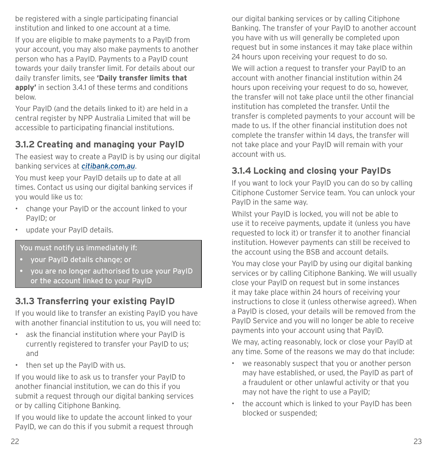be registered with a single participating financial institution and linked to one account at a time. If you are eligible to make payments to a PayID from your account, you may also make payments to another person who has a PayID. Payments to a PayID count towards your daily transfer limit. For details about our daily transfer limits, see **'Daily transfer limits that apply'** in section 3.4.1 of these terms and conditions below.

Your PayID (and the details linked to it) are held in a central register by NPP Australia Limited that will be accessible to participating financial institutions.

# **3.1.2 Creating and managing your PayID**

The easiest way to create a PayID is by using our digital banking services at *[citibank.com.au](http://citibank.com.au)*.

You must keep your PayID details up to date at all times. Contact us using our digital banking services if you would like us to:

- change your PayID or the account linked to your PayID; or
- update your PayID details.

You must notify us immediately if:

- your PayID details change; or
- you are no longer authorised to use your PayID or the account linked to your PayID

# **3.1.3 Transferring your existing PayID**

If you would like to transfer an existing PayID you have with another financial institution to us, you will need to:

- ask the financial institution where your PayID is currently registered to transfer your PayID to us; and
- then set up the PayID with us.

If you would like to ask us to transfer your PayID to another financial institution, we can do this if you submit a request through our digital banking services or by calling Citiphone Banking.

If you would like to update the account linked to your PayID, we can do this if you submit a request through

our digital banking services or by calling Citiphone Banking. The transfer of your PayID to another account you have with us will generally be completed upon request but in some instances it may take place within 24 hours upon receiving your request to do so.

We will action a request to transfer your PayID to an account with another financial institution within 24 hours upon receiving your request to do so, however, the transfer will not take place until the other financial institution has completed the transfer. Until the transfer is completed payments to your account will be made to us. If the other financial institution does not complete the transfer within 14 days, the transfer will not take place and your PayID will remain with your account with us.

# **3.1.4 Locking and closing your PayIDs**

If you want to lock your PayID you can do so by calling Citiphone Customer Service team. You can unlock your PayID in the same way.

Whilst your PayID is locked, you will not be able to use it to receive payments, update it (unless you have requested to lock it) or transfer it to another financial institution. However payments can still be received to the account using the BSB and account details.

You may close your PayID by using our digital banking services or by calling Citiphone Banking. We will usually close your PayID on request but in some instances it may take place within 24 hours of receiving your instructions to close it (unless otherwise agreed). When a PayID is closed, your details will be removed from the PayID Service and you will no longer be able to receive payments into your account using that PayID.

We may, acting reasonably, lock or close your PayID at any time. Some of the reasons we may do that include:

- we reasonably suspect that you or another person may have established, or used, the PayID as part of a fraudulent or other unlawful activity or that you may not have the right to use a PayID;
- the account which is linked to your PayID has been blocked or suspended;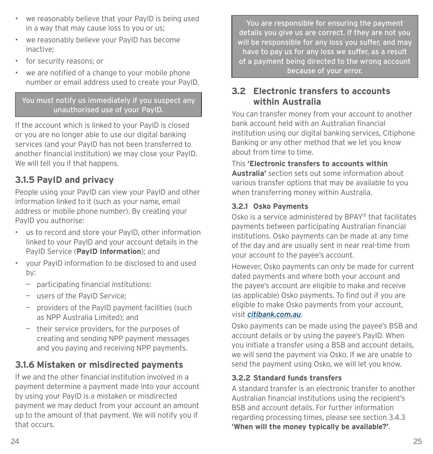- we reasonably believe that your PayID is being used in a way that may cause loss to you or us;
- we reasonably believe your PayID has become inactive;
- for security reasons; or
- we are notified of a change to your mobile phone number or email address used to create your PayID.

You must notify us immediately if you suspect any unauthorised use of your PayID.

If the account which is linked to your PayID is closed or you are no longer able to use our digital banking services (and your PayID has not been transferred to another financial institution) we may close your PayID. We will tell you if that happens.

# **3.1.5 PayID and privacy**

People using your PayID can view your PayID and other information linked to it (such as your name, email address or mobile phone number). By creating your PayID you authorise:

- us to record and store your PayID, other information linked to your PayID and your account details in the PayID Service (**PayID Information**); and
- your PayID information to be disclosed to and used by:
	- participating financial institutions:
	- users of the PayID Service;
	- providers of the PayID payment facilities (such as NPP Australia Limited); and
	- their service providers, for the purposes of creating and sending NPP payment messages and you paying and receiving NPP payments.

# **3.1.6 Mistaken or misdirected payments**

If we and the other financial institution involved in a payment determine a payment made into your account by using your PayID is a mistaken or misdirected payment we may deduct from your account an amount up to the amount of that payment. We will notify you if that occurs.

You are responsible for ensuring the payment details you give us are correct. If they are not you will be responsible for any loss you suffer, and may have to pay us for any loss we suffer, as a result of a payment being directed to the wrong account because of your error.

### **3.2 Electronic transfers to accounts within Australia**

You can transfer money from your account to another bank account held with an Australian financial institution using our digital banking services, Citiphone Banking or any other method that we let you know about from time to time.

#### This **'Electronic transfers to accounts within Australia'** section sets out some information about various transfer options that may be available to you when transferring money within Australia.

#### **3.2.1 Osko Payments**

Osko is a service administered by BPAY® that facilitates payments between participating Australian financial institutions. Osko payments can be made at any time of the day and are usually sent in near real-time from your account to the payee's account.

However, Osko payments can only be made for current dated payments and where both your account and the payee's account are eligible to make and receive (as applicable) Osko payments. To find out if you are eligible to make Osko payments from your account, visit *[citibank.com.au](http://citibank.com.au)*.

Osko payments can be made using the payee's BSB and account details or by using the payee's PayID. When you initiate a transfer using a BSB and account details, we will send the payment via Osko. If we are unable to send the payment using Osko, we will let you know.

#### **3.2.2 Standard funds transfers**

A standard transfer is an electronic transfer to another Australian financial institutions using the recipient's BSB and account details. For further information regarding processing times, please see section 3.4.3 **'When will the money typically be available?'**.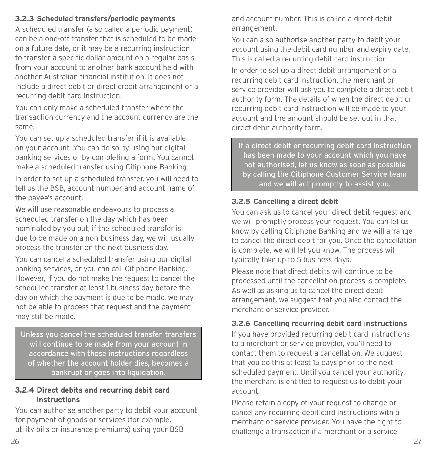#### **3.2.3 Scheduled transfers/periodic payments**

A scheduled transfer (also called a periodic payment) can be a one-off transfer that is scheduled to be made on a future date, or it may be a recurring instruction to transfer a specific dollar amount on a regular basis from your account to another bank account held with another Australian financial institution. It does not include a direct debit or direct credit arrangement or a recurring debit card instruction.

You can only make a scheduled transfer where the transaction currency and the account currency are the same.

You can set up a scheduled transfer if it is available on your account. You can do so by using our digital banking services or by completing a form. You cannot make a scheduled transfer using Citiphone Banking.

In order to set up a scheduled transfer, you will need to tell us the BSB, account number and account name of the payee's account.

We will use reasonable endeavours to process a scheduled transfer on the day which has been nominated by you but, if the scheduled transfer is due to be made on a non-business day, we will usually process the transfer on the next business day.

You can cancel a scheduled transfer using our digital banking services, or you can call Citiphone Banking. However, if you do not make the request to cancel the scheduled transfer at least 1 business day before the day on which the payment is due to be made, we may not be able to process that request and the payment may still be made.

Unless you cancel the scheduled transfer, transfers will continue to be made from your account in accordance with those instructions regardless of whether the account holder dies, becomes a bankrupt or goes into liquidation.

#### **3.2.4 Direct debits and recurring debit card instructions**

You can authorise another party to debit your account for payment of goods or services (for example, utility bills or insurance premiums) using your BSB

and account number. This is called a direct debit arrangement.

You can also authorise another party to debit your account using the debit card number and expiry date. This is called a recurring debit card instruction.

In order to set up a direct debit arrangement or a recurring debit card instruction, the merchant or service provider will ask you to complete a direct debit authority form. The details of when the direct debit or recurring debit card instruction will be made to your account and the amount should be set out in that direct debit authority form.

If a direct debit or recurring debit card instruction has been made to your account which you have not authorised, let us know as soon as possible by calling the Citiphone Customer Service team and we will act promptly to assist you.

#### **3.2.5 Cancelling a direct debit**

You can ask us to cancel your direct debit request and we will promptly process your request. You can let us know by calling Citiphone Banking and we will arrange to cancel the direct debit for you. Once the cancellation is complete, we will let you know. The process will typically take up to 5 business days.

Please note that direct debits will continue to be processed until the cancellation process is complete. As well as asking us to cancel the direct debit arrangement, we suggest that you also contact the merchant or service provider.

#### **3.2.6 Cancelling recurring debit card instructions**

If you have provided recurring debit card instructions to a merchant or service provider, you'll need to contact them to request a cancellation. We suggest that you do this at least 15 days prior to the next scheduled payment. Until you cancel your authority, the merchant is entitled to request us to debit your account.

Please retain a copy of your request to change or cancel any recurring debit card instructions with a merchant or service provider. You have the right to challenge a transaction if a merchant or a service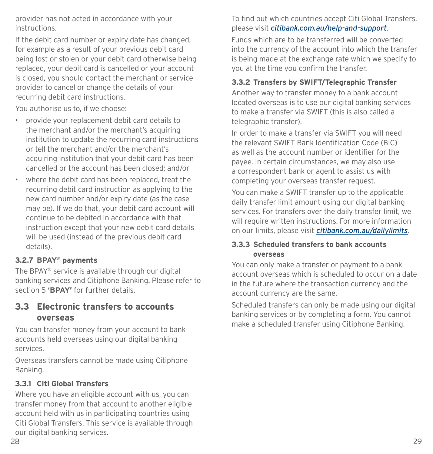provider has not acted in accordance with your instructions.

If the debit card number or expiry date has changed, for example as a result of your previous debit card being lost or stolen or your debit card otherwise being replaced, your debit card is cancelled or your account is closed, you should contact the merchant or service provider to cancel or change the details of your recurring debit card instructions.

You authorise us to, if we choose:

- provide your replacement debit card details to the merchant and/or the merchant's acquiring institution to update the recurring card instructions or tell the merchant and/or the merchant's acquiring institution that your debit card has been cancelled or the account has been closed; and/or
- where the debit card has been replaced, treat the recurring debit card instruction as applying to the new card number and/or expiry date (as the case may be). If we do that, your debit card account will continue to be debited in accordance with that instruction except that your new debit card details will be used (instead of the previous debit card details).

#### **3.2.7 BPAY® payments**

The BPAY® service is available through our digital banking services and Citiphone Banking. Please refer to section 5 **'BPAY'** for further details.

### **3.3 Electronic transfers to accounts overseas**

You can transfer money from your account to bank accounts held overseas using our digital banking services.

Overseas transfers cannot be made using Citiphone Banking.

#### **3.3.1 Citi Global Transfers**

Where you have an eligible account with us, you can transfer money from that account to another eligible account held with us in participating countries using Citi Global Transfers. This service is available through our digital banking services.

To find out which countries accept Citi Global Transfers, please visit *[citibank.com.au/help-and-support](https://www1.citibank.com.au/help-and-support)*.

Funds which are to be transferred will be converted into the currency of the account into which the transfer is being made at the exchange rate which we specify to you at the time you confirm the transfer.

### **3.3.2 Transfers by SWIFT/Telegraphic Transfer**

Another way to transfer money to a bank account located overseas is to use our digital banking services to make a transfer via SWIFT (this is also called a telegraphic transfer).

In order to make a transfer via SWIFT you will need the relevant SWIFT Bank Identification Code (BIC) as well as the account number or identifier for the payee. In certain circumstances, we may also use a correspondent bank or agent to assist us with completing your overseas transfer request.

You can make a SWIFT transfer up to the applicable daily transfer limit amount using our digital banking services. For transfers over the daily transfer limit, we will require written instructions. For more information on our limits, please visit *[citibank.com.au/dailylimits](http://www.citibank.com.au/dailylimits)*.

#### **3.3.3 Scheduled transfers to bank accounts overseas**

You can only make a transfer or payment to a bank account overseas which is scheduled to occur on a date in the future where the transaction currency and the account currency are the same.

Scheduled transfers can only be made using our digital banking services or by completing a form. You cannot make a scheduled transfer using Citiphone Banking.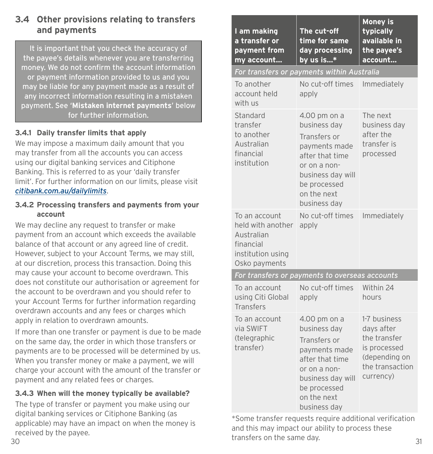### **3.4 Other provisions relating to transfers and payments**

It is important that you check the accuracy of the payee's details whenever you are transferring money. We do not confirm the account information or payment information provided to us and you may be liable for any payment made as a result of any incorrect information resulting in a mistaken payment. See '**Mistaken internet payments**' below for further information.

#### **3.4.1 Daily transfer limits that apply**

We may impose a maximum daily amount that you may transfer from all the accounts you can access using our digital banking services and Citiphone Banking. This is referred to as your 'daily transfer limit'. For further information on our limits, please visit *[citibank.com.au/dailylimits](http://www.citibank.com.au/dailylimits)*.

#### **3.4.2 Processing transfers and payments from your account**

We may decline any request to transfer or make payment from an account which exceeds the available balance of that account or any agreed line of credit. However, subject to your Account Terms, we may still, at our discretion, process this transaction. Doing this may cause your account to become overdrawn. This does not constitute our authorisation or agreement for the account to be overdrawn and you should refer to your Account Terms for further information regarding overdrawn accounts and any fees or charges which apply in relation to overdrawn amounts.

If more than one transfer or payment is due to be made on the same day, the order in which those transfers or payments are to be processed will be determined by us. When you transfer money or make a payment, we will charge your account with the amount of the transfer or payment and any related fees or charges.

#### **3.4.3 When will the money typically be available?**

The type of transfer or payment you make using our digital banking services or Citiphone Banking (as applicable) may have an impact on when the money is received by the payee.

| I am making<br>a transfer or<br>payment from<br>my account                                          | The cut-off<br>time for same<br>day processing<br>by us is*                                                                                                          | <b>Money is</b><br>typically<br>available in<br>the payee's<br>account                                      |
|-----------------------------------------------------------------------------------------------------|----------------------------------------------------------------------------------------------------------------------------------------------------------------------|-------------------------------------------------------------------------------------------------------------|
| For transfers or payments within Australia                                                          |                                                                                                                                                                      |                                                                                                             |
| To another<br>account held<br>with us                                                               | No cut-off times<br>apply                                                                                                                                            | Immediately                                                                                                 |
| Standard<br>transfer<br>to another<br>Australian<br>financial<br>institution                        | 4.00 pm on a<br>business day<br>Transfers or<br>payments made<br>after that time<br>or on a non-<br>business day will<br>be processed<br>on the next<br>business day | The next<br>business day<br>after the<br>transfer is<br>processed                                           |
| To an account<br>held with another<br>Australian<br>financial<br>institution using<br>Osko payments | No cut-off times<br>apply                                                                                                                                            | Immediately                                                                                                 |
|                                                                                                     | For transfers or payments to overseas accounts                                                                                                                       |                                                                                                             |
| To an account<br>using Citi Global<br><b>Transfers</b>                                              | No cut-off times<br>apply                                                                                                                                            | Within 24<br>hours                                                                                          |
| To an account<br>via SWIFT<br>(telegraphic<br>transfer)                                             | 4.00 pm on a<br>business day<br>Transfers or<br>payments made<br>after that time<br>or on a non-<br>business day will<br>be processed<br>on the next<br>business day | 1-7 business<br>days after<br>the transfer<br>is processed<br>(depending on<br>the transaction<br>currency) |

 $\frac{1}{30}$  and  $\frac{1}{31}$  and  $\frac{1}{31}$  and  $\frac{1}{31}$  and  $\frac{1}{31}$  and  $\frac{1}{31}$  and  $\frac{1}{31}$  and  $\frac{1}{31}$  and  $\frac{1}{31}$  and  $\frac{1}{31}$  and  $\frac{1}{31}$  and  $\frac{1}{31}$  and  $\frac{1}{31}$  and  $\frac{1}{31}$  and  $\frac{1}{31}$  \*Some transfer requests require additional verification and this may impact our ability to process these transfers on the same day.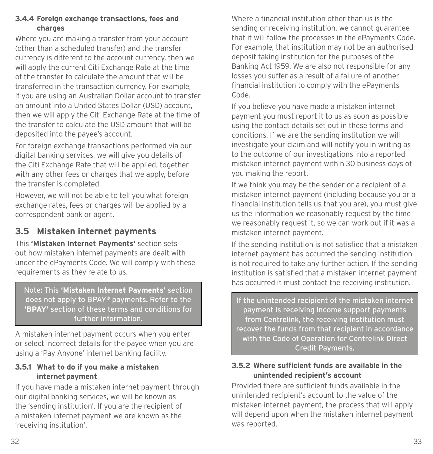#### **3.4.4 Foreign exchange transactions, fees and charges**

Where you are making a transfer from your account (other than a scheduled transfer) and the transfer currency is different to the account currency, then we will apply the current Citi Exchange Rate at the time of the transfer to calculate the amount that will be transferred in the transaction currency. For example, if you are using an Australian Dollar account to transfer an amount into a United States Dollar (USD) account, then we will apply the Citi Exchange Rate at the time of the transfer to calculate the USD amount that will be deposited into the payee's account.

For foreign exchange transactions performed via our digital banking services, we will give you details of the Citi Exchange Rate that will be applied, together with any other fees or charges that we apply, before the transfer is completed.

However, we will not be able to tell you what foreign exchange rates, fees or charges will be applied by a correspondent bank or agent.

# **3.5 Mistaken internet payments**

This **'Mistaken Internet Payments'** section sets out how mistaken internet payments are dealt with under the ePayments Code. We will comply with these requirements as they relate to us.

Note: This **'Mistaken Internet Payments'** section does not apply to BPAY® payments. Refer to the **'BPAY'** section of these terms and conditions for further information.

A mistaken internet payment occurs when you enter or select incorrect details for the payee when you are using a 'Pay Anyone' internet banking facility.

#### **3.5.1 What to do if you make a mistaken internet payment**

If you have made a mistaken internet payment through our digital banking services, we will be known as the 'sending institution'. If you are the recipient of a mistaken internet payment we are known as the 'receiving institution'.

Where a financial institution other than us is the sending or receiving institution, we cannot guarantee that it will follow the processes in the ePayments Code. For example, that institution may not be an authorised deposit taking institution for the purposes of the Banking Act 1959. We are also not responsible for any losses you suffer as a result of a failure of another financial institution to comply with the ePayments Code.

If you believe you have made a mistaken internet payment you must report it to us as soon as possible using the contact details set out in these terms and conditions. If we are the sending institution we will investigate your claim and will notify you in writing as to the outcome of our investigations into a reported mistaken internet payment within 30 business days of you making the report.

If we think you may be the sender or a recipient of a mistaken internet payment (including because you or a financial institution tells us that you are), you must give us the information we reasonably request by the time we reasonably request it, so we can work out if it was a mistaken internet payment.

If the sending institution is not satisfied that a mistaken internet payment has occurred the sending institution is not required to take any further action. If the sending institution is satisfied that a mistaken internet payment has occurred it must contact the receiving institution.

If the unintended recipient of the mistaken internet payment is receiving income support payments from Centrelink, the receiving institution must recover the funds from that recipient in accordance with the Code of Operation for Centrelink Direct Credit Payments.

#### **3.5.2 Where sufficient funds are available in the unintended recipient's account**

Provided there are sufficient funds available in the unintended recipient's account to the value of the mistaken internet payment, the process that will apply will depend upon when the mistaken internet payment was reported.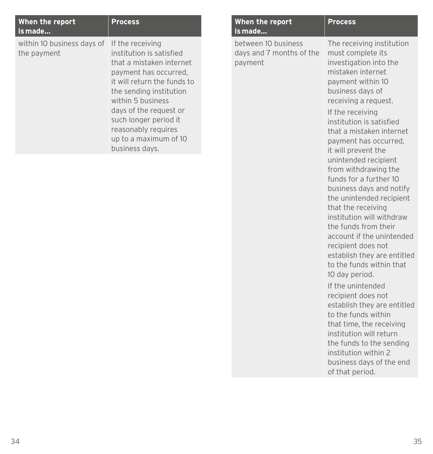| When the report<br>is made                | <b>Process</b>                                                                                                                                                                                                                                                                                        |
|-------------------------------------------|-------------------------------------------------------------------------------------------------------------------------------------------------------------------------------------------------------------------------------------------------------------------------------------------------------|
| within 10 business days of<br>the payment | If the receiving<br>institution is satisfied<br>that a mistaken internet<br>payment has occurred,<br>it will return the funds to<br>the sending institution<br>within 5 business<br>days of the request or<br>such longer period it<br>reasonably requires<br>up to a maximum of 10<br>business days. |

| When the report<br>is made                                 | <b>Process</b>                                                                                                                                                                                                                                               |
|------------------------------------------------------------|--------------------------------------------------------------------------------------------------------------------------------------------------------------------------------------------------------------------------------------------------------------|
| between 10 business<br>days and 7 months of the<br>payment | The receiving institution<br>must complete its<br>investigation into the<br>mistaken internet<br>payment within 10<br>business days of<br>receiving a request.<br>If the receiving                                                                           |
|                                                            | institution is satisfied<br>that a mistaken internet<br>payment has occurred,<br>it will prevent the<br>unintended recipient<br>from withdrawing the<br>funds for a further 10<br>business days and notify<br>the unintended recipient<br>that the receiving |
|                                                            | institution will withdraw<br>the funds from their<br>account if the unintended<br>recipient does not<br>establish they are entitled<br>to the funds within that<br>10 day period.                                                                            |
|                                                            | If the unintended<br>recipient does not<br>establish they are entitled<br>to the funds within<br>that time, the receiving<br>institution will return<br>the funds to the sending<br>institution within 2                                                     |

business days of the end

of that period.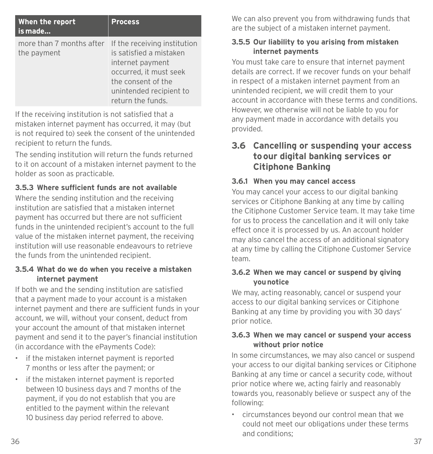| When the report<br>is made                                           | <b>Process</b>                                                                                                                              |
|----------------------------------------------------------------------|---------------------------------------------------------------------------------------------------------------------------------------------|
| more than 7 months after If the receiving institution<br>the payment | is satisfied a mistaken<br>internet payment<br>occurred, it must seek<br>the consent of the<br>unintended recipient to<br>return the funds. |

If the receiving institution is not satisfied that a mistaken internet payment has occurred, it may (but is not required to) seek the consent of the unintended recipient to return the funds.

The sending institution will return the funds returned to it on account of a mistaken internet payment to the holder as soon as practicable.

#### **3.5.3 Where sufficient funds are not available**

Where the sending institution and the receiving institution are satisfied that a mistaken internet payment has occurred but there are not sufficient funds in the unintended recipient's account to the full value of the mistaken internet payment, the receiving institution will use reasonable endeavours to retrieve the funds from the unintended recipient.

#### **3.5.4 What do we do when you receive a mistaken internet payment**

If both we and the sending institution are satisfied that a payment made to your account is a mistaken internet payment and there are sufficient funds in your account, we will, without your consent, deduct from your account the amount of that mistaken internet payment and send it to the payer's financial institution (in accordance with the ePayments Code):

- if the mistaken internet payment is reported 7 months or less after the payment; or
- if the mistaken internet payment is reported between 10 business days and 7 months of the payment, if you do not establish that you are entitled to the payment within the relevant 10 business day period referred to above.

We can also prevent you from withdrawing funds that are the subject of a mistaken internet payment.

#### **3.5.5 Our liability to you arising from mistaken internet payments**

You must take care to ensure that internet payment details are correct. If we recover funds on your behalf in respect of a mistaken internet payment from an unintended recipient, we will credit them to your account in accordance with these terms and conditions. However, we otherwise will not be liable to you for any payment made in accordance with details you provided.

### **3.6 Cancelling or suspending your access to our digital banking services or Citiphone Banking**

#### **3.6.1 When you may cancel access**

You may cancel your access to our digital banking services or Citiphone Banking at any time by calling the Citiphone Customer Service team. It may take time for us to process the cancellation and it will only take effect once it is processed by us. An account holder may also cancel the access of an additional signatory at any time by calling the Citiphone Customer Service team.

#### **3.6.2 When we may cancel or suspend by giving you notice**

We may, acting reasonably, cancel or suspend your access to our digital banking services or Citiphone Banking at any time by providing you with 30 days' prior notice.

#### **3.6.3 When we may cancel or suspend your access without prior notice**

In some circumstances, we may also cancel or suspend your access to our digital banking services or Citiphone Banking at any time or cancel a security code, without prior notice where we, acting fairly and reasonably towards you, reasonably believe or suspect any of the following:

• circumstances beyond our control mean that we could not meet our obligations under these terms and conditions;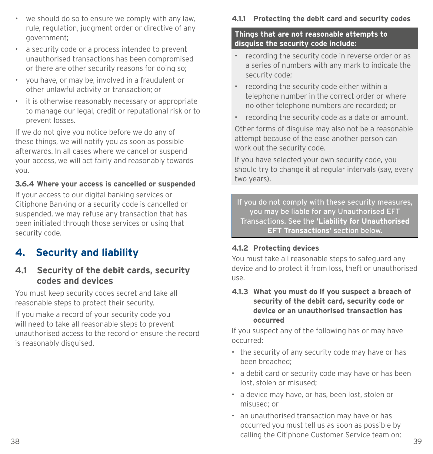- <span id="page-26-0"></span>• we should do so to ensure we comply with any law, rule, regulation, judgment order or directive of any government;
- a security code or a process intended to prevent unauthorised transactions has been compromised or there are other security reasons for doing so;
- you have, or may be, involved in a fraudulent or other unlawful activity or transaction; or
- it is otherwise reasonably necessary or appropriate to manage our legal, credit or reputational risk or to prevent losses.

If we do not give you notice before we do any of these things, we will notify you as soon as possible afterwards. In all cases where we cancel or suspend your access, we will act fairly and reasonably towards you.

#### **3.6.4 Where your access is cancelled or suspended**

If your access to our digital banking services or Citiphone Banking or a security code is cancelled or suspended, we may refuse any transaction that has been initiated through those services or using that security code.

# **4. Security and liability**

#### **4.1 Security of the debit cards, security codes and devices**

You must keep security codes secret and take all reasonable steps to protect their security.

If you make a record of your security code you will need to take all reasonable steps to prevent unauthorised access to the record or ensure the record is reasonably disguised.

#### **4.1.1 Protecting the debit card and security codes**

#### **Things that are not reasonable attempts to disguise the security code include:**

- recording the security code in reverse order or as a series of numbers with any mark to indicate the security code;
- recording the security code either within a telephone number in the correct order or where no other telephone numbers are recorded; or
- recording the security code as a date or amount.

Other forms of disguise may also not be a reasonable attempt because of the ease another person can work out the security code.

If you have selected your own security code, you should try to change it at regular intervals (say, every two years).

If you do not comply with these security measures, you may be liable for any Unauthorised EFT Transactions. See the **'Liability for Unauthorised EFT Transactions'** section below.

#### **4.1.2 Protecting devices**

You must take all reasonable steps to safeguard any device and to protect it from loss, theft or unauthorised use.

**4.1.3 What you must do if you suspect a breach of security of the debit card, security code or device or an unauthorised transaction has occurred**

If you suspect any of the following has or may have occurred:

- the security of any security code may have or has been breached;
- a debit card or security code may have or has been lost, stolen or misused;
- a device may have, or has, been lost, stolen or misused; or
- 38 39 • an unauthorised transaction may have or has occurred you must tell us as soon as possible by calling the Citiphone Customer Service team on: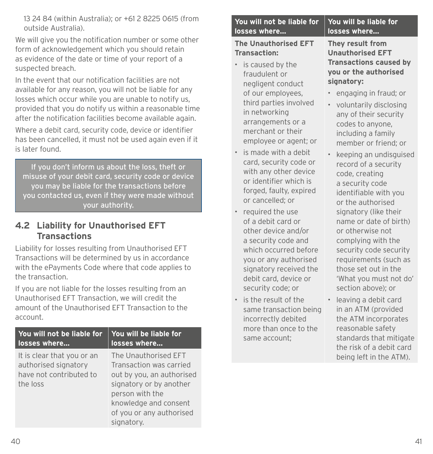13 24 84 (within Australia); or +61 2 8225 0615 (from outside Australia).

We will give you the notification number or some other form of acknowledgement which you should retain as evidence of the date or time of your report of a suspected breach.

In the event that our notification facilities are not available for any reason, you will not be liable for any losses which occur while you are unable to notify us, provided that you do notify us within a reasonable time after the notification facilities become available again.

Where a debit card, security code, device or identifier has been cancelled, it must not be used again even if it is later found.

If you don't inform us about the loss, theft or misuse of your debit card, security code or device you may be liable for the transactions before you contacted us, even if they were made without your authority.

#### **4.2 Liability for Unauthorised EFT Transactions**

Liability for losses resulting from Unauthorised EFT Transactions will be determined by us in accordance with the ePayments Code where that code applies to the transaction.

If you are not liable for the losses resulting from an Unauthorised EFT Transaction, we will credit the amount of the Unauthorised EFT Transaction to the account.

| You will not be liable for                                                                | You will be liable for                                                                                                                                                                        |
|-------------------------------------------------------------------------------------------|-----------------------------------------------------------------------------------------------------------------------------------------------------------------------------------------------|
| losses where                                                                              | losses where                                                                                                                                                                                  |
| It is clear that you or an<br>authorised signatory<br>have not contributed to<br>the loss | The Unauthorised EFT<br>Transaction was carried<br>out by you, an authorised<br>signatory or by another<br>person with the<br>knowledge and consent<br>of you or any authorised<br>signatory. |

#### **You will not be liable for losses where… You will be liable for losses where…**

#### **The Unauthorised EFT Transaction:**

- is caused by the fraudulent or negligent conduct of our employees, third parties involved in networking arrangements or a merchant or their employee or agent; or
- is made with a debit card, security code or with any other device or identifier which is forged, faulty, expired or cancelled; or
- required the use of a debit card or other device and/or a security code and which occurred before you or any authorised signatory received the debit card, device or security code; or
- is the result of the same transaction being incorrectly debited more than once to the same account;

**They result from Unauthorised EFT Transactions caused by you or the authorised signatory:**

- engaging in fraud; or
- voluntarily disclosing any of their security codes to anyone, including a family member or friend; or
- keeping an undisguised record of a security code, creating a security code identifiable with you or the authorised signatory (like their name or date of birth) or otherwise not complying with the security code security requirements (such as those set out in the 'What you must not do' section above); or
- leaving a debit card in an ATM (provided the ATM incorporates reasonable safety standards that mitigate the risk of a debit card being left in the ATM).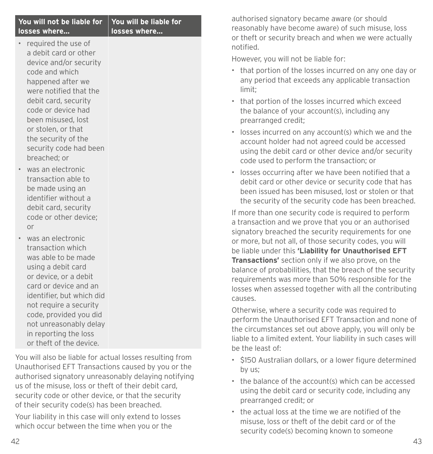| You will not be liable for<br>losses where                                                                                                                                                                                                                                                           | You will be liable for<br>losses where |
|------------------------------------------------------------------------------------------------------------------------------------------------------------------------------------------------------------------------------------------------------------------------------------------------------|----------------------------------------|
| required the use of<br>a debit card or other<br>device and/or security<br>code and which<br>happened after we<br>were notified that the<br>debit card, security<br>code or device had<br>been misused, lost<br>or stolen, or that<br>the security of the<br>security code had been<br>breached; or   |                                        |
| was an electronic<br>transaction able to<br>be made using an<br>identifier without a<br>debit card, security<br>code or other device;<br>or                                                                                                                                                          |                                        |
| was an electronic<br>transaction which<br>was able to be made<br>using a debit card<br>or device, or a debit<br>card or device and an<br>identifier, but which did<br>not require a security<br>code, provided you did<br>not unreasonably delay<br>in reporting the loss<br>or theft of the device. |                                        |
| Vou will also he liable fer actual lesses resulting from                                                                                                                                                                                                                                             |                                        |

You will also be liable for actual losses resulting from Unauthorised EFT Transactions caused by you or the authorised signatory unreasonably delaying notifying us of the misuse, loss or theft of their debit card, security code or other device, or that the security of their security code(s) has been breached.

Your liability in this case will only extend to losses which occur between the time when you or the

authorised signatory became aware (or should reasonably have become aware) of such misuse, loss or theft or security breach and when we were actually notified.

However, you will not be liable for:

- that portion of the losses incurred on any one day or any period that exceeds any applicable transaction limit;
- that portion of the losses incurred which exceed the balance of your account(s), including any prearranged credit;
- losses incurred on any account(s) which we and the account holder had not agreed could be accessed using the debit card or other device and/or security code used to perform the transaction; or
- losses occurring after we have been notified that a debit card or other device or security code that has been issued has been misused, lost or stolen or that the security of the security code has been breached.

If more than one security code is required to perform a transaction and we prove that you or an authorised signatory breached the security requirements for one or more, but not all, of those security codes, you will be liable under this **'Liability for Unauthorised EFT Transactions'** section only if we also prove, on the balance of probabilities, that the breach of the security requirements was more than 50% responsible for the losses when assessed together with all the contributing causes.

Otherwise, where a security code was required to perform the Unauthorised EFT Transaction and none of the circumstances set out above apply, you will only be liable to a limited extent. Your liability in such cases will be the least of:

- \$150 Australian dollars, or a lower figure determined by us;
- the balance of the account(s) which can be accessed using the debit card or security code, including any prearranged credit; or
- the actual loss at the time we are notified of the misuse, loss or theft of the debit card or of the security code(s) becoming known to someone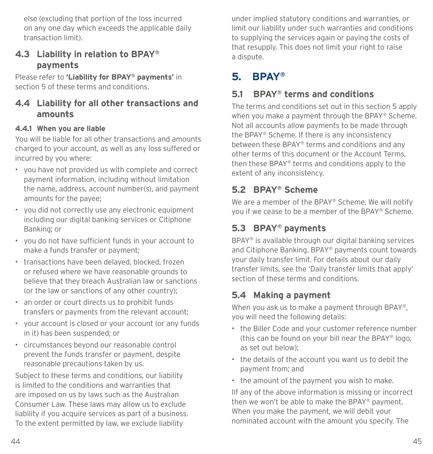<span id="page-29-0"></span>else (excluding that portion of the loss incurred on any one day which exceeds the applicable daily transaction limit).

#### **4.3 Liability in relation to BPAY® payments**

Please refer to **'Liability for BPAY® payments'** in section 5 of these terms and conditions.

### **4.4 Liability for all other transactions and amounts**

#### **4.4.1 When you are liable**

You will be liable for all other transactions and amounts charged to your account, as well as any loss suffered or incurred by you where:

- you have not provided us with complete and correct payment information, including without limitation the name, address, account number(s), and payment amounts for the payee;
- you did not correctly use any electronic equipment including our digital banking services or Citiphone Banking; or
- you do not have sufficient funds in your account to make a funds transfer or payment;
- transactions have been delayed, blocked, frozen or refused where we have reasonable grounds to believe that they breach Australian law or sanctions (or the law or sanctions of any other country);
- an order or court directs us to prohibit funds transfers or payments from the relevant account;
- your account is closed or your account (or any funds in it) has been suspended; or
- circumstances beyond our reasonable control prevent the funds transfer or payment, despite reasonable precautions taken by us.

Subject to these terms and conditions, our liability is limited to the conditions and warranties that are imposed on us by laws such as the Australian Consumer Law. These laws may allow us to exclude liability if you acquire services as part of a business. To the extent permitted by law, we exclude liability

under implied statutory conditions and warranties, or limit our liability under such warranties and conditions to supplying the services again or paying the costs of that resupply. This does not limit your right to raise a dispute.

# **5. BPAY®**

### **5.1 BPAY® terms and conditions**

The terms and conditions set out in this section 5 apply when you make a payment through the BPAY® Scheme. Not all accounts allow payments to be made through the BPAY® Scheme. If there is any inconsistency between these BPAY® terms and conditions and any other terms of this document or the Account Terms, then these BPAY® terms and conditions apply to the extent of any inconsistency.

### **5.2 BPAY® Scheme**

We are a member of the BPAY® Scheme. We will notify you if we cease to be a member of the BPAY® Scheme.

# **5.3 BPAY® payments**

BPAY® is available through our digital banking services and Citiphone Banking. BPAY® payments count towards your daily transfer limit. For details about our daily transfer limits, see the 'Daily transfer limits that apply' section of these terms and conditions.

### **5.4 Making a payment**

When you ask us to make a payment through BPAY®. you will need the following details:

- the Biller Code and your customer reference number (this can be found on your bill near the BPAY® logo, as set out below);
- the details of the account you want us to debit the payment from; and
- the amount of the payment you wish to make.

IIf any of the above information is missing or incorrect then we won't be able to make the BPAY® payment. When you make the payment, we will debit your nominated account with the amount you specify. The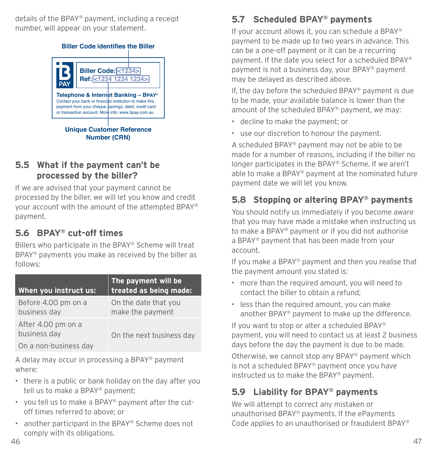details of the BPAY® payment, including a receipt number, will appear on your statement.



**Number (CRN)**

### **5.5 What if the payment can't be processed by the biller?**

If we are advised that your payment cannot be processed by the biller, we will let you know and credit your account with the amount of the attempted BPAY® payment.

# **5.6 BPAY® cut-off times**

Billers who participate in the BPAY® Scheme will treat BPAY® payments you make as received by the biller as follows:

| When you instruct us:               | The payment will be<br>treated as being made: |
|-------------------------------------|-----------------------------------------------|
| Before 4.00 pm on a<br>business day | On the date that you<br>make the payment      |
| After 4.00 pm on a<br>business day  | On the next business day                      |
| On a non-business day               |                                               |

A delay may occur in processing a BPAY® payment where:

- there is a public or bank holiday on the day after you tell us to make a BPAY® payment;
- you tell us to make a BPAY® payment after the cutoff times referred to above; or
- another participant in the BPAY® Scheme does not comply with its obligations.

# **5.7 Scheduled BPAY® payments**

If your account allows it, you can schedule a BPAY® payment to be made up to two years in advance. This can be a one-off payment or it can be a recurring payment. If the date you select for a scheduled BPAY® payment is not a business day, your BPAY® payment may be delayed as described above.

If, the day before the scheduled BPAY® payment is due to be made, your available balance is lower than the amount of the scheduled BPAY® payment, we may:

- decline to make the payment; or
- use our discretion to honour the payment.

A scheduled BPAY® payment may not be able to be made for a number of reasons, including if the biller no longer participates in the BPAY® Scheme. If we aren't able to make a BPAY® payment at the nominated future payment date we will let you know.

# **5.8 Stopping or altering BPAY® payments**

You should notify us immediately if you become aware that you may have made a mistake when instructing us to make a BPAY® payment or if you did not authorise a BPAY® payment that has been made from your account.

If you make a BPAY® payment and then you realise that the payment amount you stated is:

- more than the required amount, you will need to contact the biller to obtain a refund;
- less than the required amount, you can make another BPAY® payment to make up the difference.

If you want to stop or alter a scheduled BPAY® payment, you will need to contact us at least 2 business days before the day the payment is due to be made.

Otherwise, we cannot stop any BPAY® payment which is not a scheduled BPAY® payment once you have instructed us to make the BPAY® payment.

# **5.9 Liability for BPAY® payments**

We will attempt to correct any mistaken or unauthorised BPAY® payments. If the ePayments Code applies to an unauthorised or fraudulent BPAY®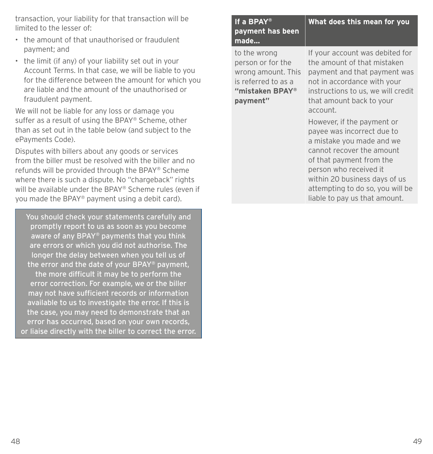transaction, your liability for that transaction will be limited to the lesser of:

- the amount of that unauthorised or fraudulent payment; and
- the limit (if any) of your liability set out in your Account Terms. In that case, we will be liable to you for the difference between the amount for which you are liable and the amount of the unauthorised or fraudulent payment.

We will not be liable for any loss or damage you suffer as a result of using the BPAY® Scheme, other than as set out in the table below (and subject to the ePayments Code).

Disputes with billers about any goods or services from the biller must be resolved with the biller and no refunds will be provided through the BPAY® Scheme where there is such a dispute. No "chargeback" rights will be available under the BPAY® Scheme rules (even if you made the BPAY® payment using a debit card).

You should check your statements carefully and promptly report to us as soon as you become aware of any BPAY® payments that you think are errors or which you did not authorise. The longer the delay between when you tell us of the error and the date of your BPAY® payment, the more difficult it may be to perform the error correction. For example, we or the biller may not have sufficient records or information available to us to investigate the error. If this is the case, you may need to demonstrate that an error has occurred, based on your own records, or liaise directly with the biller to correct the error.

| If a BPAY®<br>payment has been<br>made                                                                        | What does this mean for you                                                                                                                                                                                                                                                                                                                                                                                                                                                                   |
|---------------------------------------------------------------------------------------------------------------|-----------------------------------------------------------------------------------------------------------------------------------------------------------------------------------------------------------------------------------------------------------------------------------------------------------------------------------------------------------------------------------------------------------------------------------------------------------------------------------------------|
| to the wrong<br>person or for the<br>wrong amount. This<br>is referred to as a<br>"mistaken BPAY®<br>payment" | If your account was debited for<br>the amount of that mistaken<br>payment and that payment was<br>not in accordance with your<br>instructions to us, we will credit<br>that amount back to your<br>account.<br>However, if the payment or<br>payee was incorrect due to<br>a mistake you made and we<br>cannot recover the amount<br>of that payment from the<br>person who received it<br>within 20 business days of us<br>attempting to do so, you will be<br>liable to pay us that amount. |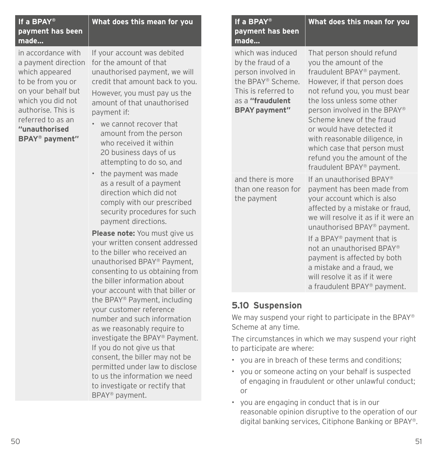| If a BPAY®<br>payment has been<br>made                                             | What does this mean for you                                                                                               |
|------------------------------------------------------------------------------------|---------------------------------------------------------------------------------------------------------------------------|
| in accordance with<br>a payment direction<br>which appeared<br>to be from you or   | If your account was debited<br>for the amount of that<br>unauthorised payment, we will<br>credit that amount back to you. |
| on your behalf but<br>which you did not<br>authorise. This is<br>referred to as an | However, you must pay us the<br>amount of that unauthorised<br>payment if:<br>we cannot recover that                      |
| "unauthorised                                                                      | متحصص متحامل ممتحدها المدينة والمناسب                                                                                     |

**BPAY® payment"**

- amount from the person who received it within 20 business days of us attempting to do so, and
- the payment was made as a result of a payment direction which did not comply with our prescribed security procedures for such payment directions.

**Please note:** You must give us your written consent addressed to the biller who received an unauthorised BPAY® Payment, consenting to us obtaining from the biller information about your account with that biller or the BPAY® Payment, including your customer reference number and such information as we reasonably require to investigate the BPAY® Payment. If you do not give us that consent, the biller may not be permitted under law to disclose to us the information we need to investigate or rectify that BPAY® payment.

| If a BPAY®<br>payment has been<br>made                                                                                                               | What does this mean for you                                                                                                                                                                                                                                                                                                                                                                          |
|------------------------------------------------------------------------------------------------------------------------------------------------------|------------------------------------------------------------------------------------------------------------------------------------------------------------------------------------------------------------------------------------------------------------------------------------------------------------------------------------------------------------------------------------------------------|
| which was induced<br>by the fraud of a<br>person involved in<br>the BPAY® Scheme.<br>This is referred to<br>as a "fraudulent<br><b>BPAY payment"</b> | That person should refund<br>you the amount of the<br>fraudulent BPAY® payment.<br>However, if that person does<br>not refund you, you must bear<br>the loss unless some other<br>person involved in the BPAY®<br>Scheme knew of the fraud<br>or would have detected it<br>with reasonable diligence, in<br>which case that person must<br>refund you the amount of the<br>fraudulent BPAY® payment. |
| and there is more<br>than one reason for<br>the payment                                                                                              | If an unauthorised BPAY®<br>payment has been made from<br>your account which is also<br>affected by a mistake or fraud,<br>we will resolve it as if it were an<br>unauthorised BPAY® payment.<br>If a BPAY <sup>®</sup> payment that is<br>not an unauthorised BPAY®<br>payment is affected by both<br>a mistake and a fraud, we<br>will resolve it as if it were<br>a fraudulent BPAY® payment.     |

#### **5.10 Suspension**

We may suspend your right to participate in the BPAY<sup>®</sup> Scheme at any time.

The circumstances in which we may suspend your right to participate are where:

- you are in breach of these terms and conditions;
- you or someone acting on your behalf is suspected of engaging in fraudulent or other unlawful conduct; or
- you are engaging in conduct that is in our reasonable opinion disruptive to the operation of our digital banking services, Citiphone Banking or BPAY®.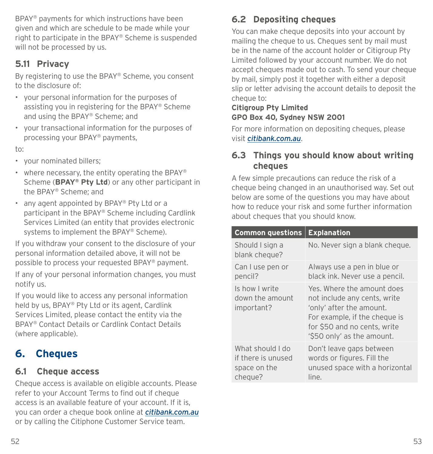<span id="page-33-0"></span>BPAY® payments for which instructions have been given and which are schedule to be made while your right to participate in the BPAY® Scheme is suspended will not be processed by us.

# **5.11 Privacy**

By registering to use the BPAY® Scheme, you consent to the disclosure of:

- your personal information for the purposes of assisting you in registering for the BPAY® Scheme and using the BPAY® Scheme; and
- your transactional information for the purposes of processing your BPAY® payments,

to:

- your nominated billers;
- where necessary, the entity operating the BPAY<sup>®</sup> Scheme (**BPAY® Pty Ltd**) or any other participant in the BPAY® Scheme; and
- any agent appointed by BPAY® Pty Ltd or a participant in the BPAY® Scheme including Cardlink Services Limited (an entity that provides electronic systems to implement the BPAY® Scheme).

If you withdraw your consent to the disclosure of your personal information detailed above, it will not be possible to process your requested BPAY® payment.

If any of your personal information changes, you must notify us.

If you would like to access any personal information held by us, BPAY® Pty Ltd or its agent, Cardlink Services Limited, please contact the entity via the BPAY® Contact Details or Cardlink Contact Details (where applicable).

# **6. Cheques**

### **6.1 Cheque access**

Cheque access is available on eligible accounts. Please refer to your Account Terms to find out if cheque access is an available feature of your account. If it is, you can order a cheque book online at *[citibank.com.au](http://citibank.com.au)* or by calling the Citiphone Customer Service team.

# **6.2 Depositing cheques**

You can make cheque deposits into your account by mailing the cheque to us. Cheques sent by mail must be in the name of the account holder or Citigroup Pty Limited followed by your account number. We do not accept cheques made out to cash. To send your cheque by mail, simply post it together with either a deposit slip or letter advising the account details to deposit the cheque to:

#### **Citigroup Pty Limited GPO Box 40, Sydney NSW 2001**

For more information on depositing cheques, please visit *[citibank.com.au](http://citibank.com.au)*.

### **6.3 Things you should know about writing cheques**

A few simple precautions can reduce the risk of a cheque being changed in an unauthorised way. Set out below are some of the questions you may have about how to reduce your risk and some further information about cheques that you should know.

| <b>Common questions</b>                                           | <b>Explanation</b>                                                                                                                                                                    |
|-------------------------------------------------------------------|---------------------------------------------------------------------------------------------------------------------------------------------------------------------------------------|
| Should I sign a<br>blank cheque?                                  | No. Never sign a blank cheque.                                                                                                                                                        |
| Can I use pen or<br>pencil?                                       | Always use a pen in blue or<br>black ink. Never use a pencil.                                                                                                                         |
| Is how I write<br>down the amount<br>important?                   | Yes. Where the amount does<br>not include any cents, write<br>'only' after the amount.<br>For example, if the cheque is<br>for \$50 and no cents, write<br>'\$50 only' as the amount. |
| What should I do<br>if there is unused<br>space on the<br>cheque? | Don't leave gaps between<br>words or figures. Fill the<br>unused space with a horizontal<br>line.                                                                                     |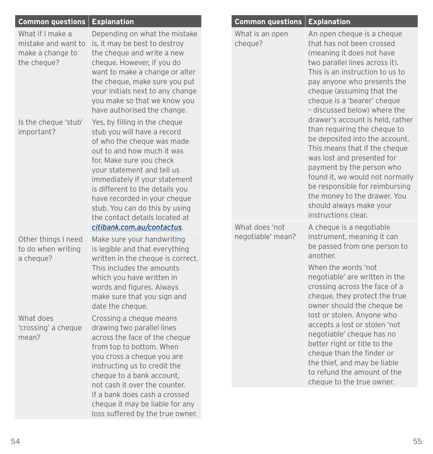| <b>Common guestions</b>                                                    | <b>Explanation</b>                                                                                                                                                                                                                                                                                                                                         | <b>Common questions</b>             | <b>Explanation</b>                                                                                                                                                                                                                                                                                                                                    |
|----------------------------------------------------------------------------|------------------------------------------------------------------------------------------------------------------------------------------------------------------------------------------------------------------------------------------------------------------------------------------------------------------------------------------------------------|-------------------------------------|-------------------------------------------------------------------------------------------------------------------------------------------------------------------------------------------------------------------------------------------------------------------------------------------------------------------------------------------------------|
| What if I make a<br>mistake and want to<br>make a change to<br>the cheque? | Depending on what the mistake<br>is, it may be best to destroy<br>the cheque and write a new<br>cheque. However, if you do<br>want to make a change or alter<br>the cheque, make sure you put<br>your initials next to any change<br>you make so that we know you<br>have authorised the change.                                                           | What is an open<br>cheque?          | An open cheque is a cheque<br>that has not been crossed<br>(meaning it does not have<br>two parallel lines across it).<br>This is an instruction to us to<br>pay anyone who presents the<br>cheque (assuming that the<br>cheque is a 'bearer' cheque<br>- discussed below) where the                                                                  |
| Is the cheque 'stub'<br>important?                                         | Yes, by filling in the cheque<br>stub you will have a record<br>of who the cheque was made<br>out to and how much it was<br>for. Make sure you check<br>your statement and tell us<br>immediately if your statement<br>is different to the details you<br>have recorded in your cheque<br>stub. You can do this by using<br>the contact details located at |                                     | drawer's account is held, rather<br>than requiring the cheque to<br>be deposited into the account.<br>This means that if the cheque<br>was lost and presented for<br>payment by the person who<br>found it, we would not normally<br>be responsible for reimbursing<br>the money to the drawer. You<br>should always make your<br>instructions clear. |
| Other things I need<br>to do when writing<br>a cheque?                     | citibank.com.au/contactus.<br>Make sure your handwriting<br>is legible and that everything<br>written in the cheque is correct.<br>This includes the amounts<br>which you have written in<br>words and figures. Always<br>make sure that you sign and<br>date the cheque.                                                                                  | What does 'not<br>negotiable' mean? | A cheque is a negotiable<br>instrument, meaning it can<br>be passed from one person to<br>another.<br>When the words 'not<br>negotiable' are written in the<br>crossing across the face of a<br>cheque, they protect the true<br>owner should the cheque be                                                                                           |
| What does<br>'crossing' a cheque<br>mean?                                  | Crossing a cheque means<br>drawing two parallel lines<br>across the face of the cheque<br>from top to bottom. When<br>you cross a cheque you are<br>instructing us to credit the<br>cheque to a bank account,<br>not cash it over the counter.                                                                                                             |                                     | lost or stolen. Anyone who<br>accepts a lost or stolen 'not<br>negotiable' cheque has no<br>better right or title to the<br>cheque than the finder or<br>the thief, and may be liable<br>to refund the amount of the<br>cheque to the true owner.                                                                                                     |
|                                                                            | If a bank does cash a crossed<br>cheque it may be liable for any                                                                                                                                                                                                                                                                                           |                                     |                                                                                                                                                                                                                                                                                                                                                       |

loss suffered by the true owner.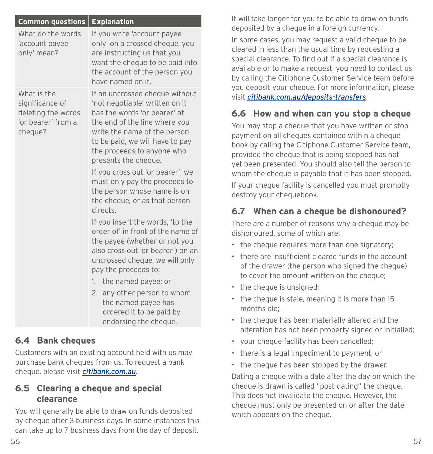| <b>Common questions</b>                                                               | <b>Explanation</b>                                                                                                                                                                                                                                                                                                                                                                                          |  |
|---------------------------------------------------------------------------------------|-------------------------------------------------------------------------------------------------------------------------------------------------------------------------------------------------------------------------------------------------------------------------------------------------------------------------------------------------------------------------------------------------------------|--|
| What do the words<br>'account payee<br>only' mean?                                    | If you write 'account payee<br>only' on a crossed cheque, you<br>are instructing us that you<br>want the cheque to be paid into<br>the account of the person you<br>have named on it.                                                                                                                                                                                                                       |  |
| What is the<br>significance of<br>deleting the words<br>'or bearer' from a<br>cheque? | If an uncrossed cheque without<br>'not negotiable' written on it<br>has the words 'or bearer' at<br>the end of the line where you<br>write the name of the person<br>to be paid, we will have to pay<br>the proceeds to anyone who<br>presents the cheque.<br>If you cross out 'or bearer', we<br>must only pay the proceeds to<br>the person whose name is on<br>the cheque, or as that person<br>directs. |  |
|                                                                                       | If you insert the words, 'to the<br>order of' in front of the name of<br>the payee (whether or not you<br>also cross out 'or bearer') on an<br>uncrossed cheque, we will only<br>pay the proceeds to:<br>1. the named payee; or<br>2. any other person to whom<br>the named payee has<br>ordered it to be paid by                                                                                           |  |

# **6.4 Bank cheques**

Customers with an existing account held with us may purchase bank cheques from us. To request a bank cheque, please visit *[citibank.com.au](http://citibank.com.au)*.

#### **6.5 Clearing a cheque and special clearance**

You will generally be able to draw on funds deposited by cheque after 3 business days. In some instances this can take up to 7 business days from the day of deposit.

It will take longer for you to be able to draw on funds deposited by a cheque in a foreign currency.

In some cases, you may request a valid cheque to be cleared in less than the usual time by requesting a special clearance. To find out if a special clearance is available or to make a request, you need to contact us by calling the Citiphone Customer Service team before you deposit your cheque. For more information, please visit *[citibank.com.au/deposits-transfers](http://citibank.com.au/deposits-transfers)*.

# **6.6 How and when can you stop a cheque**

You may stop a cheque that you have written or stop payment on all cheques contained within a cheque book by calling the Citiphone Customer Service team, provided the cheque that is being stopped has not yet been presented. You should also tell the person to whom the cheque is payable that it has been stopped.

If your cheque facility is cancelled you must promptly destroy your chequebook.

# **6.7 When can a cheque be dishonoured?**

There are a number of reasons why a cheque may be dishonoured, some of which are:

- the cheque requires more than one signatory;
- there are insufficient cleared funds in the account of the drawer (the person who signed the cheque) to cover the amount written on the cheque;
- the cheque is unsigned;
- the cheque is stale, meaning it is more than 15 months old;
- the cheque has been materially altered and the alteration has not been property signed or initialled;
- your cheque facility has been cancelled;
- there is a legal impediment to payment; or
- the cheque has been stopped by the drawer.

Dating a cheque with a date after the day on which the cheque is drawn is called "post-dating" the cheque. This does not invalidate the cheque. However, the cheque must only be presented on or after the date which appears on the cheque.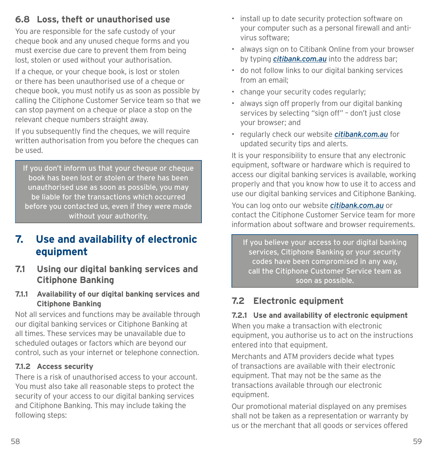# <span id="page-36-0"></span>**6.8 Loss, theft or unauthorised use**

You are responsible for the safe custody of your cheque book and any unused cheque forms and you must exercise due care to prevent them from being lost, stolen or used without your authorisation.

If a cheque, or your cheque book, is lost or stolen or there has been unauthorised use of a cheque or cheque book, you must notify us as soon as possible by calling the Citiphone Customer Service team so that we can stop payment on a cheque or place a stop on the relevant cheque numbers straight away.

If you subsequently find the cheques, we will require written authorisation from you before the cheques can be used.

If you don't inform us that your cheque or cheque book has been lost or stolen or there has been unauthorised use as soon as possible, you may be liable for the transactions which occurred before you contacted us, even if they were made without your authority.

# **7. Use and availability of electronic equipment**

- **7.1 Using our digital banking services and Citiphone Banking**
- **7.1.1 Availability of our digital banking services and Citiphone Banking**

Not all services and functions may be available through our digital banking services or Citiphone Banking at all times. These services may be unavailable due to scheduled outages or factors which are beyond our control, such as your internet or telephone connection.

### **7.1.2 Access security**

There is a risk of unauthorised access to your account. You must also take all reasonable steps to protect the security of your access to our digital banking services and Citiphone Banking. This may include taking the following steps:

- install up to date security protection software on your computer such as a personal firewall and antivirus software;
- always sign on to Citibank Online from your browser by typing *[citibank.com.au](http://www.citibank.com.au)* into the address bar;
- do not follow links to our digital banking services from an email;
- change your security codes regularly;
- always sign off properly from our digital banking services by selecting "sign off" – don't just close your browser; and
- regularly check our website *[citibank.com.au](http://www.citibank.com.au)* for updated security tips and alerts.

It is your responsibility to ensure that any electronic equipment, software or hardware which is required to access our digital banking services is available, working properly and that you know how to use it to access and use our digital banking services and Citiphone Banking.

You can log onto our website *[citibank.com.au](http://www.citibank.com.au)* or contact the Citiphone Customer Service team for more information about software and browser requirements.

If you believe your access to our digital banking services, Citiphone Banking or your security codes have been compromised in any way, call the Citiphone Customer Service team as soon as possible.

# **7.2 Electronic equipment**

# **7.2.1 Use and availability of electronic equipment**

When you make a transaction with electronic equipment, you authorise us to act on the instructions entered into that equipment.

Merchants and ATM providers decide what types of transactions are available with their electronic equipment. That may not be the same as the transactions available through our electronic equipment.

Our promotional material displayed on any premises shall not be taken as a representation or warranty by us or the merchant that all goods or services offered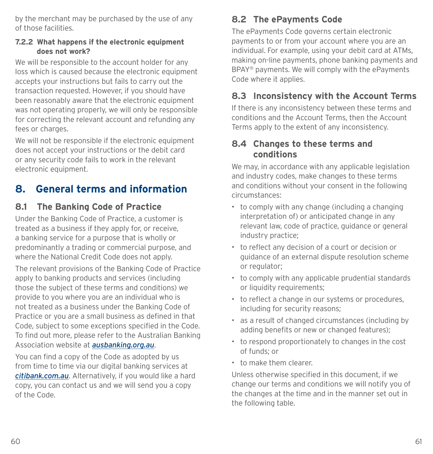<span id="page-37-0"></span>by the merchant may be purchased by the use of any of those facilities.

#### **7.2.2 What happens if the electronic equipment does not work?**

We will be responsible to the account holder for any loss which is caused because the electronic equipment accepts your instructions but fails to carry out the transaction requested. However, if you should have been reasonably aware that the electronic equipment was not operating properly, we will only be responsible for correcting the relevant account and refunding any fees or charges.

We will not be responsible if the electronic equipment does not accept your instructions or the debit card or any security code fails to work in the relevant electronic equipment.

# **8. General terms and information**

# **8.1 The Banking Code of Practice**

Under the Banking Code of Practice, a customer is treated as a business if they apply for, or receive, a banking service for a purpose that is wholly or predominantly a trading or commercial purpose, and where the National Credit Code does not apply.

The relevant provisions of the Banking Code of Practice apply to banking products and services (including those the subject of these terms and conditions) we provide to you where you are an individual who is not treated as a business under the Banking Code of Practice or you are a small business as defined in that Code, subject to some exceptions specified in the Code. To find out more, please refer to the Australian Banking Association website at *[ausbanking.org.au](http://ausbanking.org.au)*.

You can find a copy of the Code as adopted by us from time to time via our digital banking services at *[citibank.com.au](http://citibank.com.au)*. Alternatively, if you would like a hard copy, you can contact us and we will send you a copy of the Code.

# **8.2 The ePayments Code**

The ePayments Code governs certain electronic payments to or from your account where you are an individual. For example, using your debit card at ATMs, making on-line payments, phone banking payments and BPAY® payments. We will comply with the ePayments Code where it applies.

# **8.3 Inconsistency with the Account Terms**

If there is any inconsistency between these terms and conditions and the Account Terms, then the Account Terms apply to the extent of any inconsistency.

### **8.4 Changes to these terms and conditions**

We may, in accordance with any applicable legislation and industry codes, make changes to these terms and conditions without your consent in the following circumstances:

- to comply with any change (including a changing interpretation of) or anticipated change in any relevant law, code of practice, guidance or general industry practice;
- to reflect any decision of a court or decision or guidance of an external dispute resolution scheme or regulator;
- to comply with any applicable prudential standards or liquidity requirements:
- to reflect a change in our systems or procedures, including for security reasons;
- as a result of changed circumstances (including by adding benefits or new or changed features);
- to respond proportionately to changes in the cost of funds; or
- to make them clearer.

Unless otherwise specified in this document, if we change our terms and conditions we will notify you of the changes at the time and in the manner set out in the following table.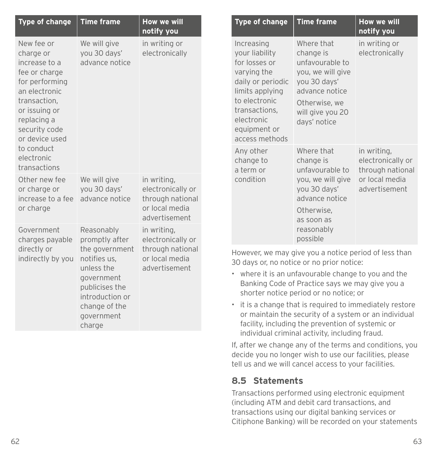| <b>Type of change</b>                                                                                                                                                                                                       | <b>Time frame</b>                                                                                                                                                        | <b>How we will</b><br>notify you                                                        |
|-----------------------------------------------------------------------------------------------------------------------------------------------------------------------------------------------------------------------------|--------------------------------------------------------------------------------------------------------------------------------------------------------------------------|-----------------------------------------------------------------------------------------|
| New fee or<br>charge or<br>increase to a<br>fee or charge<br>for performing<br>an electronic<br>transaction,<br>or issuing or<br>replacing a<br>security code<br>or device used<br>to conduct<br>electronic<br>transactions | We will give<br>you 30 days'<br>advance notice                                                                                                                           | in writing or<br>electronically                                                         |
| Other new fee<br>or charge or<br>increase to a fee<br>or charge                                                                                                                                                             | We will give<br>you 30 days'<br>advance notice                                                                                                                           | in writing,<br>electronically or<br>through national<br>or local media<br>advertisement |
| Government<br>charges payable<br>directly or<br>indirectly by you                                                                                                                                                           | Reasonably<br>promptly after<br>the government<br>notifies us,<br>unless the<br>government<br>publicises the<br>introduction or<br>change of the<br>government<br>charge | in writing,<br>electronically or<br>through national<br>or local media<br>advertisement |

| <b>Type of change</b>                                                                                                                                                                  | <b>Time frame</b>                                                                                                                                       | <b>How we will</b><br>notify you                                                        |
|----------------------------------------------------------------------------------------------------------------------------------------------------------------------------------------|---------------------------------------------------------------------------------------------------------------------------------------------------------|-----------------------------------------------------------------------------------------|
| Increasing<br>your liability<br>for losses or<br>varying the<br>daily or periodic<br>limits applying<br>to electronic<br>transactions,<br>electronic<br>equipment or<br>access methods | Where that<br>change is<br>unfavourable to<br>you, we will give<br>you 30 days'<br>advance notice<br>Otherwise, we<br>will give you 20<br>days' notice  | in writing or<br>electronically                                                         |
| Any other<br>change to<br>a term or<br>condition                                                                                                                                       | Where that<br>change is<br>unfavourable to<br>you, we will give<br>you 30 days'<br>advance notice<br>Otherwise,<br>as soon as<br>reasonably<br>possible | in writing,<br>electronically or<br>through national<br>or local media<br>advertisement |

However, we may give you a notice period of less than 30 days or, no notice or no prior notice:

- where it is an unfavourable change to you and the Banking Code of Practice says we may give you a shorter notice period or no notice; or
- it is a change that is required to immediately restore or maintain the security of a system or an individual facility, including the prevention of systemic or individual criminal activity, including fraud.

If, after we change any of the terms and conditions, you decide you no longer wish to use our facilities, please tell us and we will cancel access to your facilities.

### **8.5 Statements**

Transactions performed using electronic equipment (including ATM and debit card transactions, and transactions using our digital banking services or Citiphone Banking) will be recorded on your statements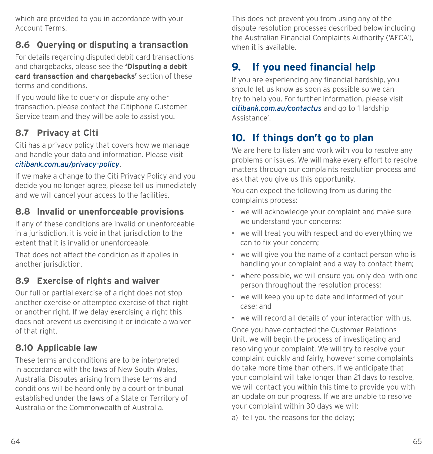<span id="page-39-0"></span>which are provided to you in accordance with your Account Terms.

# **8.6 Querying or disputing a transaction**

For details regarding disputed debit card transactions and chargebacks, please see the **'Disputing a debit card transaction and chargebacks'** section of these terms and conditions.

If you would like to query or dispute any other transaction, please contact the Citiphone Customer Service team and they will be able to assist you.

# **8.7 Privacy at Citi**

Citi has a privacy policy that covers how we manage and handle your data and information. Please visit *[citibank.com.au/privacy-policy](http://www.citibank.com.au/privacy-policy)*.

If we make a change to the Citi Privacy Policy and you decide you no longer agree, please tell us immediately and we will cancel your access to the facilities.

# **8.8 Invalid or unenforceable provisions**

If any of these conditions are invalid or unenforceable in a jurisdiction, it is void in that jurisdiction to the extent that it is invalid or unenforceable.

That does not affect the condition as it applies in another jurisdiction.

# **8.9 Exercise of rights and waiver**

Our full or partial exercise of a right does not stop another exercise or attempted exercise of that right or another right. If we delay exercising a right this does not prevent us exercising it or indicate a waiver of that right.

# **8.10 Applicable law**

These terms and conditions are to be interpreted in accordance with the laws of New South Wales, Australia. Disputes arising from these terms and conditions will be heard only by a court or tribunal established under the laws of a State or Territory of Australia or the Commonwealth of Australia.

This does not prevent you from using any of the dispute resolution processes described below including the Australian Financial Complaints Authority ('AFCA'), when it is available.

# **9. If you need financial help**

If you are experiencing any financial hardship, you should let us know as soon as possible so we can try to help you. For further information, please visit *[citibank.com.au/contactus](http://www.citibank.com.au/contactus)* and go to 'Hardship Assistance'.

# **10. If things don't go to plan**

We are here to listen and work with you to resolve any problems or issues. We will make every effort to resolve matters through our complaints resolution process and ask that you give us this opportunity.

You can expect the following from us during the complaints process:

- we will acknowledge your complaint and make sure we understand your concerns;
- we will treat you with respect and do everything we can to fix your concern;
- we will give you the name of a contact person who is handling your complaint and a way to contact them;
- where possible, we will ensure you only deal with one person throughout the resolution process;
- we will keep you up to date and informed of your case; and
- we will record all details of your interaction with us.

Once you have contacted the Customer Relations Unit, we will begin the process of investigating and resolving your complaint. We will try to resolve your complaint quickly and fairly, however some complaints do take more time than others. If we anticipate that your complaint will take longer than 21 days to resolve, we will contact you within this time to provide you with an update on our progress. If we are unable to resolve your complaint within 30 days we will:

a) tell you the reasons for the delay;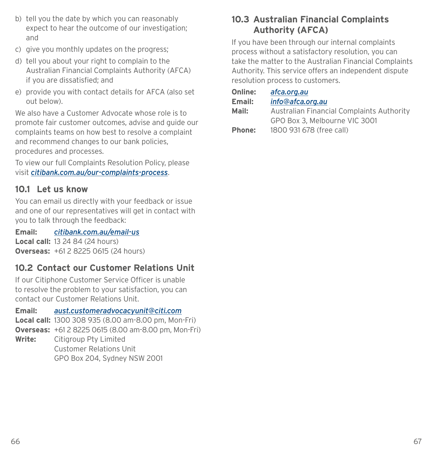- b) tell you the date by which you can reasonably expect to hear the outcome of our investigation; and
- c) give you monthly updates on the progress;
- d) tell you about your right to complain to the Australian Financial Complaints Authority (AFCA) if you are dissatisfied; and
- e) provide you with contact details for AFCA (also set out below).

We also have a Customer Advocate whose role is to promote fair customer outcomes, advise and guide our complaints teams on how best to resolve a complaint and recommend changes to our bank policies, procedures and processes.

To view our full Complaints Resolution Policy, please visit *[citibank.com.au/our-complaints-process](https://www1.citibank.com.au/our-complaints-process)*.

# **10.1 Let us know**

You can email us directly with your feedback or issue and one of our representatives will get in contact with you to talk through the feedback:

**Email:** *[citibank.com.au/email-us](mailto:?subject=)* **Local call:** 13 24 84 (24 hours) **Overseas:** +61 2 8225 0615 (24 hours)

# **10.2 Contact our Customer Relations Unit**

If our Citiphone Customer Service Officer is unable to resolve the problem to your satisfaction, you can contact our Customer Relations Unit.

**Email:** *[aust.customeradvocacyunit@citi.com](mailto:aust.customeradvocacyunit%40citi.com?subject=)* **Local call:** 1300 308 935 (8.00 am-8.00 pm, Mon-Fri)

**Overseas:** +61 2 8225 0615 (8.00 am-8.00 pm, Mon-Fri) **Write:** Citigroup Pty Limited

 Customer Relations Unit GPO Box 204, Sydney NSW 2001

# **10.3 Australian Financial Complaints Authority (AFCA)**

If you have been through our internal complaints process without a satisfactory resolution, you can take the matter to the Australian Financial Complaints Authority. This service offers an independent dispute resolution process to customers.

| afca.org.au                               |
|-------------------------------------------|
| info@afca.org.au                          |
| Australian Financial Complaints Authority |
| GPO Box 3. Melbourne VIC 3001             |
| 1800 931 678 (free call)                  |
|                                           |